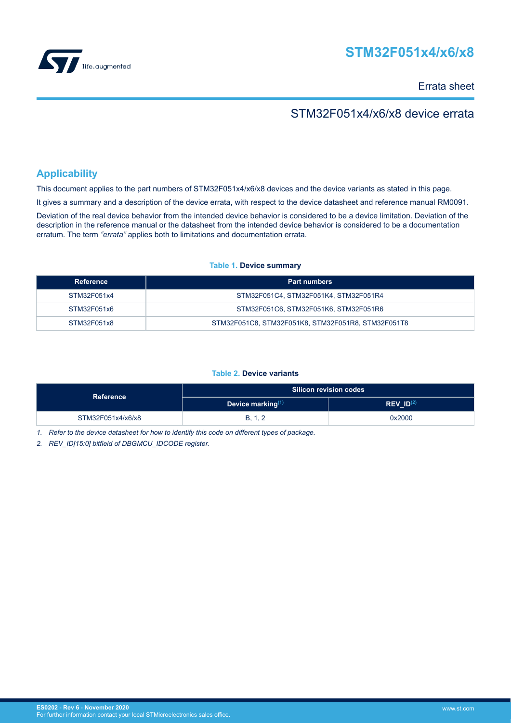

# **STM32F051x4/x6/x8**

Errata sheet

## STM32F051x4/x6/x8 device errata

## **Applicability**

This document applies to the part numbers of STM32F051x4/x6/x8 devices and the device variants as stated in this page.

It gives a summary and a description of the device errata, with respect to the device datasheet and reference manual RM0091.

Deviation of the real device behavior from the intended device behavior is considered to be a device limitation. Deviation of the description in the reference manual or the datasheet from the intended device behavior is considered to be a documentation erratum. The term *"errata"* applies both to limitations and documentation errata.

#### **Table 1. Device summary**

| Reference   | <b>Part numbers</b>                                |
|-------------|----------------------------------------------------|
| STM32F051x4 | STM32F051C4, STM32F051K4, STM32F051R4              |
| STM32F051x6 | STM32F051C6, STM32F051K6, STM32F051R6              |
| STM32F051x8 | STM32F051C8, STM32F051K8, STM32F051R8, STM32F051T8 |

### **Table 2. Device variants**

| <b>Reference</b>  |                      | <b>Silicon revision codes</b> |
|-------------------|----------------------|-------------------------------|
|                   | Device marking $(1)$ | $REV$ $ID(2)$                 |
| STM32F051x4/x6/x8 | B, 1, 2              | 0x2000                        |

*1. Refer to the device datasheet for how to identify this code on different types of package.*

*2. REV\_ID[15:0] bitfield of DBGMCU\_IDCODE register.*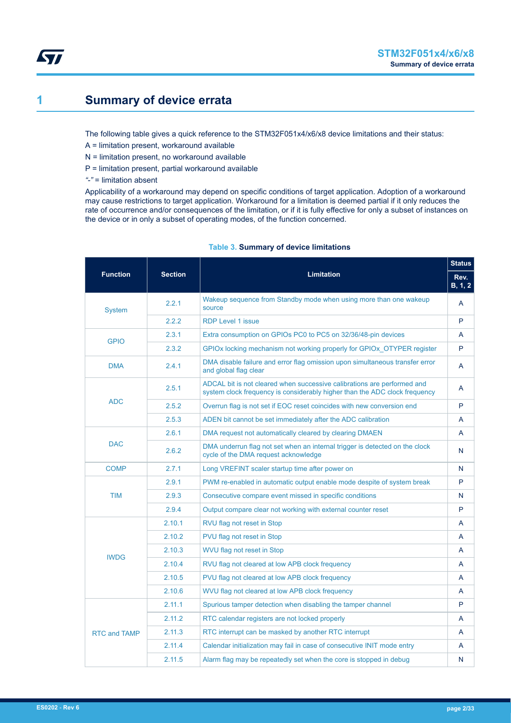## <span id="page-1-0"></span>**1 Summary of device errata**

The following table gives a quick reference to the STM32F051x4/x6/x8 device limitations and their status:

- A = limitation present, workaround available
- N = limitation present, no workaround available
- P = limitation present, partial workaround available

*"-"* = limitation absent

Applicability of a workaround may depend on specific conditions of target application. Adoption of a workaround may cause restrictions to target application. Workaround for a limitation is deemed partial if it only reduces the rate of occurrence and/or consequences of the limitation, or if it is fully effective for only a subset of instances on the device or in only a subset of operating modes, of the function concerned.

|                     |                |                                                                                                                                                       | <b>Status</b>   |
|---------------------|----------------|-------------------------------------------------------------------------------------------------------------------------------------------------------|-----------------|
| <b>Function</b>     | <b>Section</b> | <b>Limitation</b>                                                                                                                                     | Rev.<br>B, 1, 2 |
| <b>System</b>       | 2.2.1          | Wakeup sequence from Standby mode when using more than one wakeup<br>source                                                                           | A               |
|                     | 2.2.2          | <b>RDP Level 1 issue</b>                                                                                                                              | P               |
| <b>GPIO</b>         | 2.3.1          | Extra consumption on GPIOs PC0 to PC5 on 32/36/48-pin devices                                                                                         | A               |
|                     | 2.3.2          | GPIOx locking mechanism not working properly for GPIOx OTYPER register                                                                                | P               |
| <b>DMA</b>          | 2.4.1          | DMA disable failure and error flag omission upon simultaneous transfer error<br>and global flag clear                                                 | A               |
|                     | 2.5.1          | ADCAL bit is not cleared when successive calibrations are performed and<br>system clock frequency is considerably higher than the ADC clock frequency | A               |
| <b>ADC</b>          | 2.5.2          | Overrun flag is not set if EOC reset coincides with new conversion end                                                                                | P               |
|                     | 2.5.3          | ADEN bit cannot be set immediately after the ADC calibration                                                                                          | A               |
|                     | 2.6.1          | DMA request not automatically cleared by clearing DMAEN                                                                                               | A               |
| <b>DAC</b>          | 2.6.2          | DMA underrun flag not set when an internal trigger is detected on the clock<br>cycle of the DMA request acknowledge                                   | N               |
| <b>COMP</b>         | 2.7.1          | Long VREFINT scaler startup time after power on                                                                                                       | N               |
|                     | 2.9.1          | PWM re-enabled in automatic output enable mode despite of system break                                                                                | P               |
| <b>TIM</b>          | 2.9.3          | Consecutive compare event missed in specific conditions                                                                                               | N               |
|                     | 2.9.4          | Output compare clear not working with external counter reset                                                                                          | P               |
|                     | 2.10.1         | RVU flag not reset in Stop                                                                                                                            | A               |
|                     | 2.10.2         | PVU flag not reset in Stop                                                                                                                            | A               |
| <b>IWDG</b>         | 2.10.3         | WVU flag not reset in Stop                                                                                                                            | A               |
|                     | 2.10.4         | RVU flag not cleared at low APB clock frequency                                                                                                       | A               |
|                     | 2.10.5         | PVU flag not cleared at low APB clock frequency                                                                                                       | A               |
|                     | 2.10.6         | WVU flag not cleared at low APB clock frequency                                                                                                       | A               |
|                     | 2.11.1         | Spurious tamper detection when disabling the tamper channel                                                                                           | P               |
|                     | 2.11.2         | RTC calendar registers are not locked properly                                                                                                        | A               |
| <b>RTC and TAMP</b> | 2.11.3         | RTC interrupt can be masked by another RTC interrupt                                                                                                  | A               |
|                     | 2.11.4         | Calendar initialization may fail in case of consecutive INIT mode entry                                                                               | A               |
|                     | 2.11.5         | Alarm flag may be repeatedly set when the core is stopped in debug                                                                                    | N               |

### **Table 3. Summary of device limitations**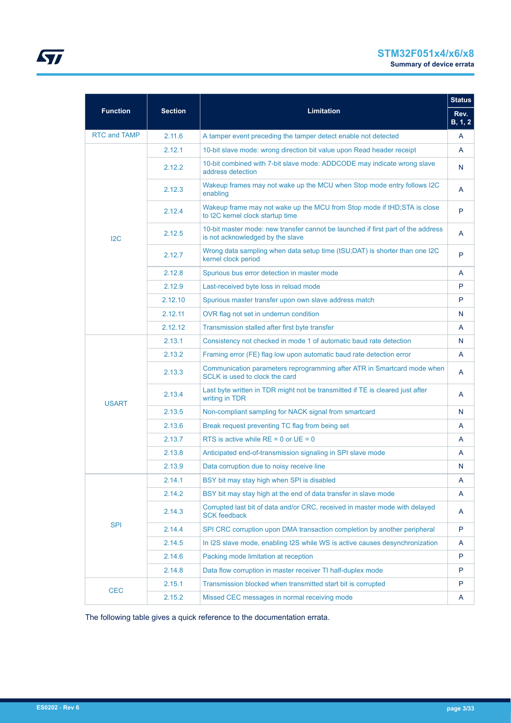# **STM32F051x4/x6/x8**

|                     |                |                                                                                                                      | <b>Status</b>           |
|---------------------|----------------|----------------------------------------------------------------------------------------------------------------------|-------------------------|
| <b>Function</b>     | <b>Section</b> | <b>Limitation</b>                                                                                                    | Rev.<br><b>B</b> , 1, 2 |
| <b>RTC and TAMP</b> | 2.11.6         | A tamper event preceding the tamper detect enable not detected                                                       | A                       |
|                     | 2.12.1         | 10-bit slave mode: wrong direction bit value upon Read header receipt                                                | A                       |
|                     | 2.12.2         | 10-bit combined with 7-bit slave mode: ADDCODE may indicate wrong slave<br>address detection                         | N                       |
|                     | 2.12.3         | Wakeup frames may not wake up the MCU when Stop mode entry follows I2C<br>enabling                                   | A                       |
|                     | 2.12.4         | Wakeup frame may not wake up the MCU from Stop mode if tHD; STA is close<br>to I2C kernel clock startup time         | P                       |
| 12C                 | 2.12.5         | 10-bit master mode: new transfer cannot be launched if first part of the address<br>is not acknowledged by the slave | A                       |
|                     | 2.12.7         | Wrong data sampling when data setup time (tSU;DAT) is shorter than one I2C<br>kernel clock period                    | P                       |
|                     | 2.12.8         | Spurious bus error detection in master mode                                                                          | A                       |
|                     | 2.12.9         | Last-received byte loss in reload mode                                                                               | P                       |
|                     | 2.12.10        | Spurious master transfer upon own slave address match                                                                | P                       |
|                     | 2.12.11        | OVR flag not set in underrun condition                                                                               | N                       |
|                     | 2.12.12        | Transmission stalled after first byte transfer                                                                       | A                       |
|                     | 2.13.1         | Consistency not checked in mode 1 of automatic baud rate detection                                                   | N                       |
|                     | 2.13.2         | Framing error (FE) flag low upon automatic baud rate detection error                                                 | A                       |
|                     | 2.13.3         | Communication parameters reprogramming after ATR in Smartcard mode when<br>SCLK is used to clock the card            | A                       |
| <b>USART</b>        | 2.13.4         | Last byte written in TDR might not be transmitted if TE is cleared just after<br>writing in TDR                      | A                       |
|                     | 2.13.5         | Non-compliant sampling for NACK signal from smartcard                                                                | N                       |
|                     | 2.13.6         | Break request preventing TC flag from being set                                                                      | A                       |
|                     | 2.13.7         | RTS is active while $RE = 0$ or $UE = 0$                                                                             | A                       |
|                     | 2.13.8         | Anticipated end-of-transmission signaling in SPI slave mode                                                          | A                       |
|                     | 2.13.9         | Data corruption due to noisy receive line                                                                            | N                       |
|                     | 2.14.1         | BSY bit may stay high when SPI is disabled                                                                           | A                       |
|                     | 2.14.2         | BSY bit may stay high at the end of data transfer in slave mode                                                      | A                       |
|                     | 2.14.3         | Corrupted last bit of data and/or CRC, received in master mode with delayed<br><b>SCK feedback</b>                   | A                       |
| <b>SPI</b>          | 2.14.4         | SPI CRC corruption upon DMA transaction completion by another peripheral                                             | P                       |
|                     | 2.14.5         | In I2S slave mode, enabling I2S while WS is active causes desynchronization                                          | A                       |
|                     | 2.14.6         | Packing mode limitation at reception                                                                                 | P                       |
|                     | 2.14.8         | Data flow corruption in master receiver TI half-duplex mode                                                          | P                       |
|                     | 2.15.1         | Transmission blocked when transmitted start bit is corrupted                                                         | P                       |
| <b>CEC</b>          | 2.15.2         | Missed CEC messages in normal receiving mode                                                                         | A                       |

The following table gives a quick reference to the documentation errata.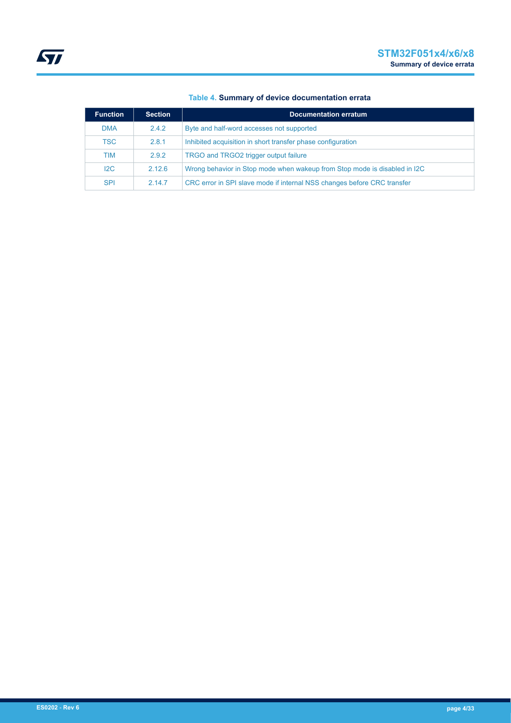| <b>Function</b> | <b>Section</b>                                                                      | <b>Documentation erratum</b>                                            |
|-----------------|-------------------------------------------------------------------------------------|-------------------------------------------------------------------------|
| <b>DMA</b>      | Byte and half-word accesses not supported<br>2.4.2                                  |                                                                         |
| <b>TSC</b>      | Inhibited acquisition in short transfer phase configuration<br>2.8.1                |                                                                         |
| TIM             | 2.9.2<br>TRGO and TRGO2 trigger output failure                                      |                                                                         |
| 12C             | Wrong behavior in Stop mode when wakeup from Stop mode is disabled in I2C<br>2.12.6 |                                                                         |
| <b>SPI</b>      | 2147                                                                                | CRC error in SPI slave mode if internal NSS changes before CRC transfer |

### **Table 4. Summary of device documentation errata**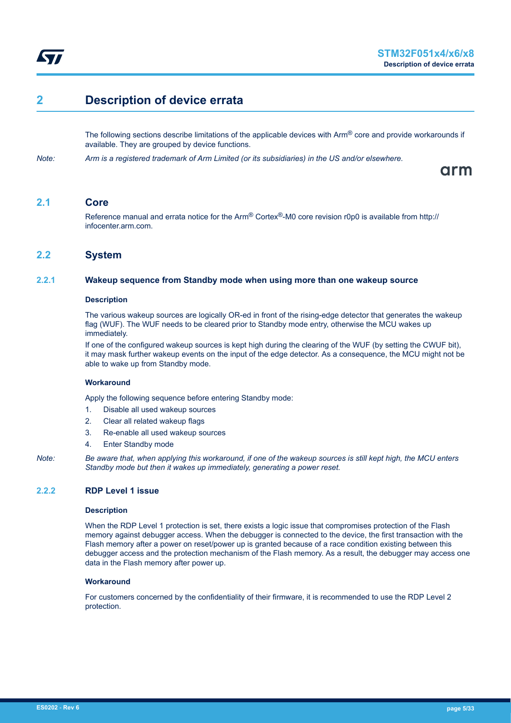<span id="page-4-0"></span>

## **2 Description of device errata**

The following sections describe limitations of the applicable devices with  $\text{Arm}^{\textcircled{}}$  core and provide workarounds if available. They are grouped by device functions.

*Note: Arm is a registered trademark of Arm Limited (or its subsidiaries) in the US and/or elsewhere.*

arm

## **2.1 Core**

Reference manual and errata notice for the Arm® Cortex®-M0 core revision r0p0 is available from http:// infocenter.arm.com.

### **2.2 System**

### **2.2.1 Wakeup sequence from Standby mode when using more than one wakeup source**

#### **Description**

The various wakeup sources are logically OR-ed in front of the rising-edge detector that generates the wakeup flag (WUF). The WUF needs to be cleared prior to Standby mode entry, otherwise the MCU wakes up immediately.

If one of the configured wakeup sources is kept high during the clearing of the WUF (by setting the CWUF bit), it may mask further wakeup events on the input of the edge detector. As a consequence, the MCU might not be able to wake up from Standby mode.

#### **Workaround**

Apply the following sequence before entering Standby mode:

- 1. Disable all used wakeup sources
- 2. Clear all related wakeup flags
- 3. Re-enable all used wakeup sources
- 4. Enter Standby mode

*Note: Be aware that, when applying this workaround, if one of the wakeup sources is still kept high, the MCU enters Standby mode but then it wakes up immediately, generating a power reset.*

#### **2.2.2 RDP Level 1 issue**

#### **Description**

When the RDP Level 1 protection is set, there exists a logic issue that compromises protection of the Flash memory against debugger access. When the debugger is connected to the device, the first transaction with the Flash memory after a power on reset/power up is granted because of a race condition existing between this debugger access and the protection mechanism of the Flash memory. As a result, the debugger may access one data in the Flash memory after power up.

#### **Workaround**

For customers concerned by the confidentiality of their firmware, it is recommended to use the RDP Level 2 protection.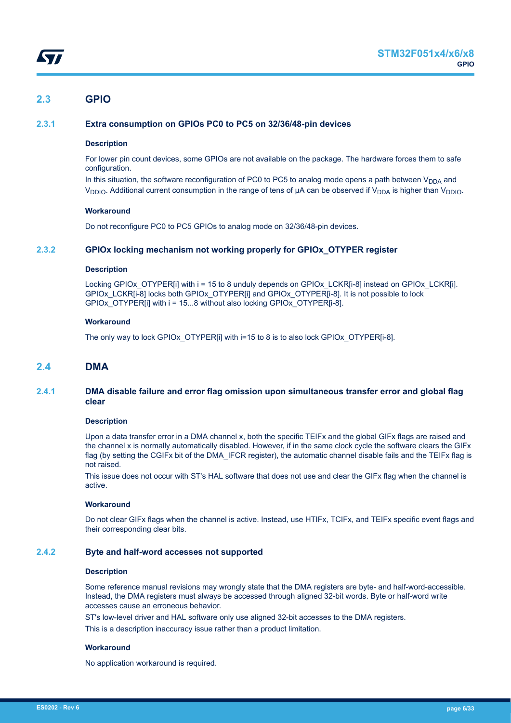## <span id="page-5-0"></span>**2.3 GPIO**

### **2.3.1 Extra consumption on GPIOs PC0 to PC5 on 32/36/48-pin devices**

#### **Description**

For lower pin count devices, some GPIOs are not available on the package. The hardware forces them to safe configuration.

In this situation, the software reconfiguration of PC0 to PC5 to analog mode opens a path between  $V_{DDA}$  and V<sub>DDIO</sub>. Additional current consumption in the range of tens of μA can be observed if V<sub>DDA</sub> is higher than V<sub>DDIO</sub>.

#### **Workaround**

Do not reconfigure PC0 to PC5 GPIOs to analog mode on 32/36/48-pin devices.

### **2.3.2 GPIOx locking mechanism not working properly for GPIOx\_OTYPER register**

#### **Description**

Locking GPIOx OTYPER[i] with i = 15 to 8 unduly depends on GPIOx LCKR[i-8] instead on GPIOx LCKR[i]. GPIOx\_CCKR[i-8] locks both GPIOx\_OTYPER[i] and GPIOx\_OTYPER[i-8]. It is not possible to lock GPIOx\_OTYPER[i] with i = 15...8 without also locking GPIOx\_OTYPER[i-8].

#### **Workaround**

The only way to lock GPIOx\_OTYPER[i] with i=15 to 8 is to also lock GPIOx\_OTYPER[i-8].

### **2.4 DMA**

#### **2.4.1 DMA disable failure and error flag omission upon simultaneous transfer error and global flag clear**

#### **Description**

Upon a data transfer error in a DMA channel x, both the specific TEIFx and the global GIFx flags are raised and the channel x is normally automatically disabled. However, if in the same clock cycle the software clears the GIFx flag (by setting the CGIFx bit of the DMA\_IFCR register), the automatic channel disable fails and the TEIFx flag is not raised.

This issue does not occur with ST's HAL software that does not use and clear the GIFx flag when the channel is active.

#### **Workaround**

Do not clear GIFx flags when the channel is active. Instead, use HTIFx, TCIFx, and TEIFx specific event flags and their corresponding clear bits.

#### **2.4.2 Byte and half-word accesses not supported**

#### **Description**

Some reference manual revisions may wrongly state that the DMA registers are byte- and half-word-accessible. Instead, the DMA registers must always be accessed through aligned 32-bit words. Byte or half-word write accesses cause an erroneous behavior.

ST's low-level driver and HAL software only use aligned 32-bit accesses to the DMA registers.

This is a description inaccuracy issue rather than a product limitation.

### **Workaround**

No application workaround is required.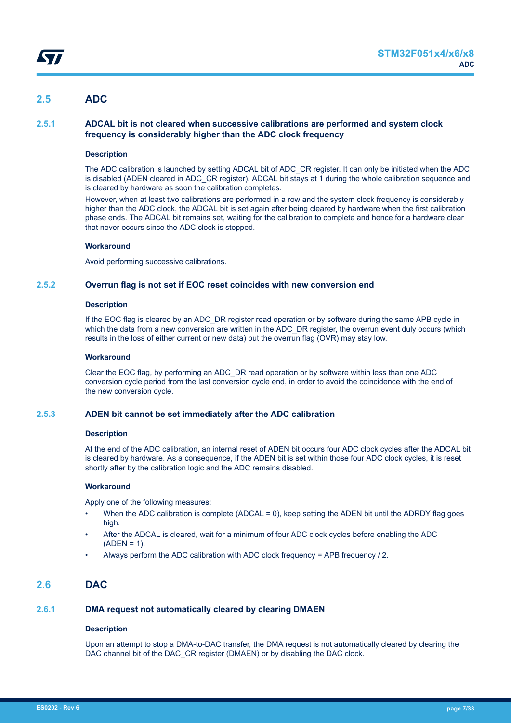## <span id="page-6-0"></span>**2.5 ADC**

### **2.5.1 ADCAL bit is not cleared when successive calibrations are performed and system clock frequency is considerably higher than the ADC clock frequency**

#### **Description**

The ADC calibration is launched by setting ADCAL bit of ADC\_CR register. It can only be initiated when the ADC is disabled (ADEN cleared in ADC\_CR register). ADCAL bit stays at 1 during the whole calibration sequence and is cleared by hardware as soon the calibration completes.

However, when at least two calibrations are performed in a row and the system clock frequency is considerably higher than the ADC clock, the ADCAL bit is set again after being cleared by hardware when the first calibration phase ends. The ADCAL bit remains set, waiting for the calibration to complete and hence for a hardware clear that never occurs since the ADC clock is stopped.

#### **Workaround**

Avoid performing successive calibrations.

### **2.5.2 Overrun flag is not set if EOC reset coincides with new conversion end**

#### **Description**

If the EOC flag is cleared by an ADC\_DR register read operation or by software during the same APB cycle in which the data from a new conversion are written in the ADC\_DR register, the overrun event duly occurs (which results in the loss of either current or new data) but the overrun flag (OVR) may stay low.

#### **Workaround**

Clear the EOC flag, by performing an ADC\_DR read operation or by software within less than one ADC conversion cycle period from the last conversion cycle end, in order to avoid the coincidence with the end of the new conversion cycle.

#### **2.5.3 ADEN bit cannot be set immediately after the ADC calibration**

#### **Description**

At the end of the ADC calibration, an internal reset of ADEN bit occurs four ADC clock cycles after the ADCAL bit is cleared by hardware. As a consequence, if the ADEN bit is set within those four ADC clock cycles, it is reset shortly after by the calibration logic and the ADC remains disabled.

#### **Workaround**

Apply one of the following measures:

- When the ADC calibration is complete (ADCAL = 0), keep setting the ADEN bit until the ADRDY flag goes high.
- After the ADCAL is cleared, wait for a minimum of four ADC clock cycles before enabling the ADC  $(ADEN = 1)$ .
- Always perform the ADC calibration with ADC clock frequency = APB frequency / 2.

## **2.6 DAC**

### **2.6.1 DMA request not automatically cleared by clearing DMAEN**

#### **Description**

Upon an attempt to stop a DMA-to-DAC transfer, the DMA request is not automatically cleared by clearing the DAC channel bit of the DAC\_CR register (DMAEN) or by disabling the DAC clock.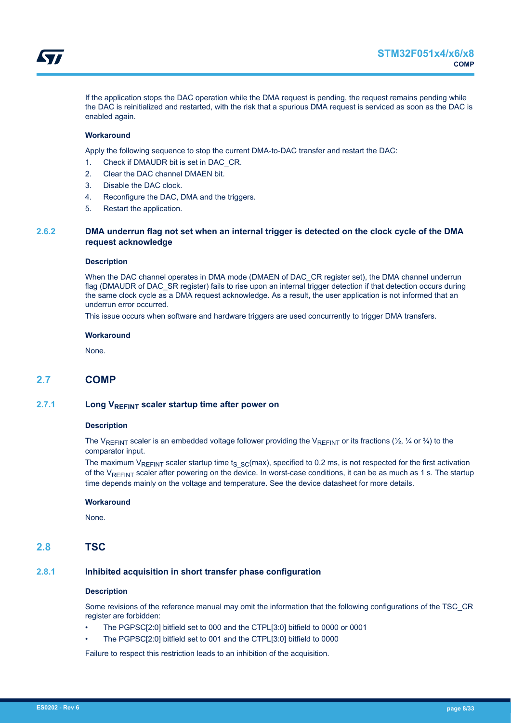<span id="page-7-0"></span>If the application stops the DAC operation while the DMA request is pending, the request remains pending while the DAC is reinitialized and restarted, with the risk that a spurious DMA request is serviced as soon as the DAC is enabled again.

### **Workaround**

Apply the following sequence to stop the current DMA-to-DAC transfer and restart the DAC:

- 1. Check if DMAUDR bit is set in DAC\_CR.
- 2. Clear the DAC channel DMAEN bit.
- 3. Disable the DAC clock.
- 4. Reconfigure the DAC, DMA and the triggers.
- 5. Restart the application.

### **2.6.2 DMA underrun flag not set when an internal trigger is detected on the clock cycle of the DMA request acknowledge**

#### **Description**

When the DAC channel operates in DMA mode (DMAEN of DAC\_CR register set), the DMA channel underrun flag (DMAUDR of DAC\_SR register) fails to rise upon an internal trigger detection if that detection occurs during the same clock cycle as a DMA request acknowledge. As a result, the user application is not informed that an underrun error occurred.

This issue occurs when software and hardware triggers are used concurrently to trigger DMA transfers.

#### **Workaround**

None.

### **2.7 COMP**

#### **2.7.1 Long VREFINT scaler startup time after power on**

#### **Description**

The V<sub>REFINT</sub> scaler is an embedded voltage follower providing the V<sub>REFINT</sub> or its fractions ( $\frac{1}{2}$ ,  $\frac{1}{4}$  or  $\frac{3}{4}$ ) to the comparator input.

The maximum VREFINT scaler startup time ts  $_{SC}$ (max), specified to 0.2 ms, is not respected for the first activation of the  $V_{RFFINT}$  scaler after powering on the device. In worst-case conditions, it can be as much as 1 s. The startup time depends mainly on the voltage and temperature. See the device datasheet for more details.

#### **Workaround**

None.

### **2.8 TSC**

### **2.8.1 Inhibited acquisition in short transfer phase configuration**

#### **Description**

Some revisions of the reference manual may omit the information that the following configurations of the TSC\_CR register are forbidden:

- The PGPSC[2:0] bitfield set to 000 and the CTPL[3:0] bitfield to 0000 or 0001
- The PGPSC[2:0] bitfield set to 001 and the CTPL[3:0] bitfield to 0000

Failure to respect this restriction leads to an inhibition of the acquisition.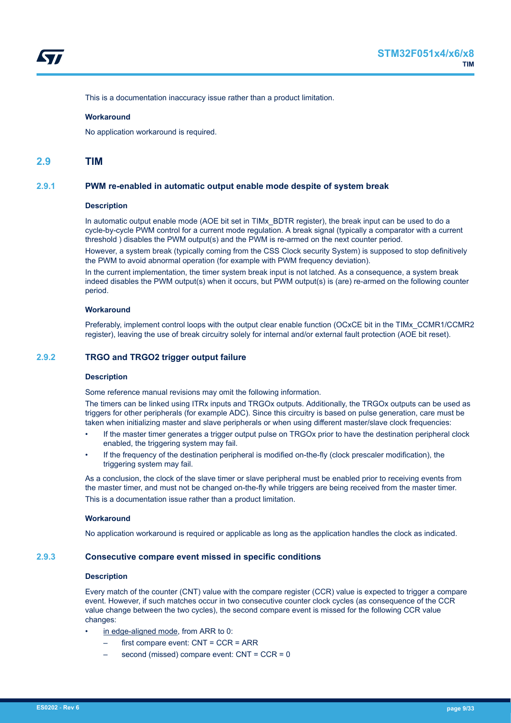<span id="page-8-0"></span>

This is a documentation inaccuracy issue rather than a product limitation.

#### **Workaround**

No application workaround is required.

#### **2.9 TIM**

#### **2.9.1 PWM re-enabled in automatic output enable mode despite of system break**

#### **Description**

In automatic output enable mode (AOE bit set in TIMx\_BDTR register), the break input can be used to do a cycle-by-cycle PWM control for a current mode regulation. A break signal (typically a comparator with a current threshold ) disables the PWM output(s) and the PWM is re-armed on the next counter period.

However, a system break (typically coming from the CSS Clock security System) is supposed to stop definitively the PWM to avoid abnormal operation (for example with PWM frequency deviation).

In the current implementation, the timer system break input is not latched. As a consequence, a system break indeed disables the PWM output(s) when it occurs, but PWM output(s) is (are) re-armed on the following counter period.

#### **Workaround**

Preferably, implement control loops with the output clear enable function (OCxCE bit in the TIMx\_CCMR1/CCMR2 register), leaving the use of break circuitry solely for internal and/or external fault protection (AOE bit reset).

#### **2.9.2 TRGO and TRGO2 trigger output failure**

#### **Description**

Some reference manual revisions may omit the following information.

The timers can be linked using ITRx inputs and TRGOx outputs. Additionally, the TRGOx outputs can be used as triggers for other peripherals (for example ADC). Since this circuitry is based on pulse generation, care must be taken when initializing master and slave peripherals or when using different master/slave clock frequencies:

- If the master timer generates a trigger output pulse on TRGOx prior to have the destination peripheral clock enabled, the triggering system may fail.
- If the frequency of the destination peripheral is modified on-the-fly (clock prescaler modification), the triggering system may fail.

As a conclusion, the clock of the slave timer or slave peripheral must be enabled prior to receiving events from the master timer, and must not be changed on-the-fly while triggers are being received from the master timer. This is a documentation issue rather than a product limitation.

#### **Workaround**

No application workaround is required or applicable as long as the application handles the clock as indicated.

#### **2.9.3 Consecutive compare event missed in specific conditions**

#### **Description**

Every match of the counter (CNT) value with the compare register (CCR) value is expected to trigger a compare event. However, if such matches occur in two consecutive counter clock cycles (as consequence of the CCR value change between the two cycles), the second compare event is missed for the following CCR value changes:

- in edge-aligned mode, from ARR to 0:
	- first compare event: CNT = CCR = ARR
	- second (missed) compare event: CNT = CCR = 0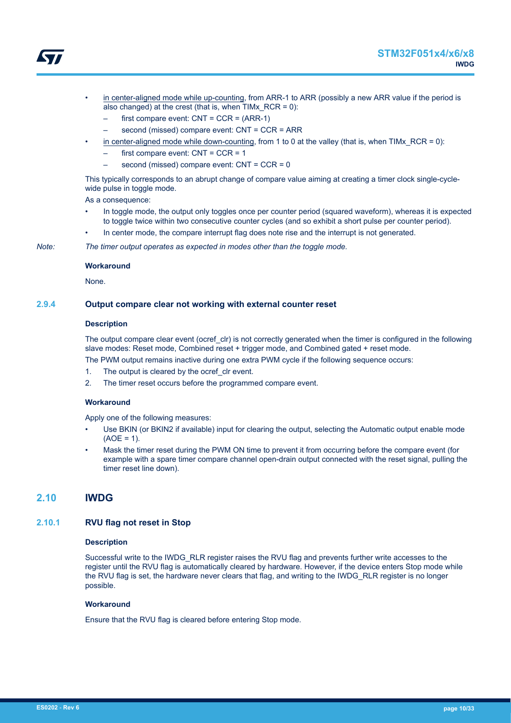

- <span id="page-9-0"></span>• in center-aligned mode while up-counting, from ARR-1 to ARR (possibly a new ARR value if the period is also changed) at the crest (that is, when TIMx\_RCR = 0):
	- first compare event:  $CNT = CCR = (ARR-1)$
	- second (missed) compare event: CNT = CCR = ARR
- in center-aligned mode while down-counting, from 1 to 0 at the valley (that is, when TIMx  $RCR = 0$ ):
	- first compare event:  $CNT = CCR = 1$
	- second (missed) compare event: CNT = CCR = 0

This typically corresponds to an abrupt change of compare value aiming at creating a timer clock single-cyclewide pulse in toggle mode.

As a consequence:

- In toggle mode, the output only toggles once per counter period (squared waveform), whereas it is expected to toggle twice within two consecutive counter cycles (and so exhibit a short pulse per counter period).
- In center mode, the compare interrupt flag does note rise and the interrupt is not generated.

*Note: The timer output operates as expected in modes other than the toggle mode.*

#### **Workaround**

None.

### **2.9.4 Output compare clear not working with external counter reset**

#### **Description**

The output compare clear event (ocref clr) is not correctly generated when the timer is configured in the following slave modes: Reset mode, Combined reset + trigger mode, and Combined gated + reset mode.

The PWM output remains inactive during one extra PWM cycle if the following sequence occurs:

- 1. The output is cleared by the ocref clr event.
- 2. The timer reset occurs before the programmed compare event.

#### **Workaround**

Apply one of the following measures:

- Use BKIN (or BKIN2 if available) input for clearing the output, selecting the Automatic output enable mode  $(AOF = 1)$ .
- Mask the timer reset during the PWM ON time to prevent it from occurring before the compare event (for example with a spare timer compare channel open-drain output connected with the reset signal, pulling the timer reset line down).

### **2.10 IWDG**

#### **2.10.1 RVU flag not reset in Stop**

#### **Description**

Successful write to the IWDG\_RLR register raises the RVU flag and prevents further write accesses to the register until the RVU flag is automatically cleared by hardware. However, if the device enters Stop mode while the RVU flag is set, the hardware never clears that flag, and writing to the IWDG\_RLR register is no longer possible.

#### **Workaround**

Ensure that the RVU flag is cleared before entering Stop mode.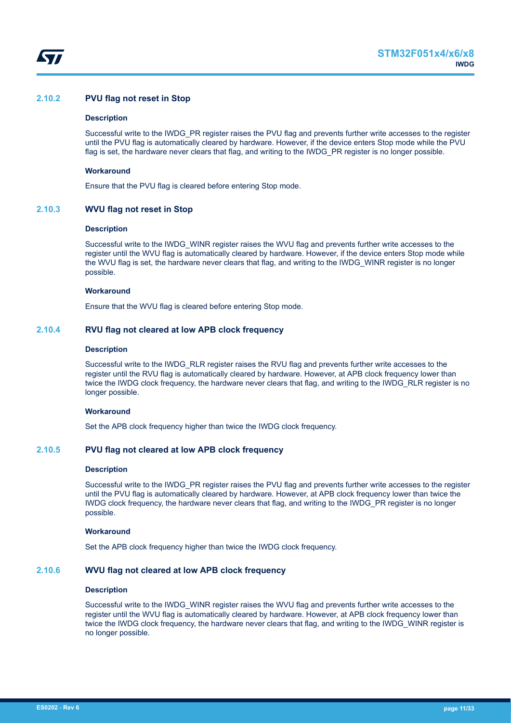<span id="page-10-0"></span>

### **2.10.2 PVU flag not reset in Stop**

#### **Description**

Successful write to the IWDG\_PR register raises the PVU flag and prevents further write accesses to the register until the PVU flag is automatically cleared by hardware. However, if the device enters Stop mode while the PVU flag is set, the hardware never clears that flag, and writing to the IWDG\_PR register is no longer possible.

#### **Workaround**

Ensure that the PVU flag is cleared before entering Stop mode.

#### **2.10.3 WVU flag not reset in Stop**

#### **Description**

Successful write to the IWDG\_WINR register raises the WVU flag and prevents further write accesses to the register until the WVU flag is automatically cleared by hardware. However, if the device enters Stop mode while the WVU flag is set, the hardware never clears that flag, and writing to the IWDG\_WINR register is no longer possible.

#### **Workaround**

Ensure that the WVU flag is cleared before entering Stop mode.

#### **2.10.4 RVU flag not cleared at low APB clock frequency**

#### **Description**

Successful write to the IWDG\_RLR register raises the RVU flag and prevents further write accesses to the register until the RVU flag is automatically cleared by hardware. However, at APB clock frequency lower than twice the IWDG clock frequency, the hardware never clears that flag, and writing to the IWDG\_RLR register is no longer possible.

#### **Workaround**

Set the APB clock frequency higher than twice the IWDG clock frequency.

### **2.10.5 PVU flag not cleared at low APB clock frequency**

#### **Description**

Successful write to the IWDG\_PR register raises the PVU flag and prevents further write accesses to the register until the PVU flag is automatically cleared by hardware. However, at APB clock frequency lower than twice the IWDG clock frequency, the hardware never clears that flag, and writing to the IWDG\_PR register is no longer possible.

#### **Workaround**

Set the APB clock frequency higher than twice the IWDG clock frequency.

### **2.10.6 WVU flag not cleared at low APB clock frequency**

#### **Description**

Successful write to the IWDG\_WINR register raises the WVU flag and prevents further write accesses to the register until the WVU flag is automatically cleared by hardware. However, at APB clock frequency lower than twice the IWDG clock frequency, the hardware never clears that flag, and writing to the IWDG\_WINR register is no longer possible.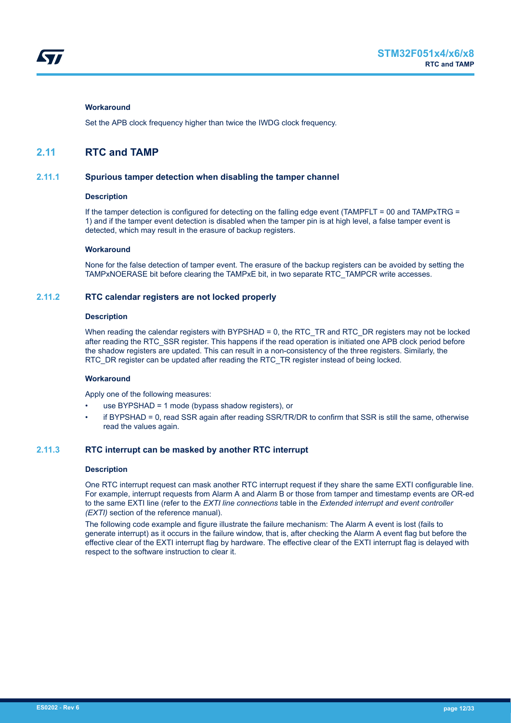#### <span id="page-11-0"></span>**Workaround**

Set the APB clock frequency higher than twice the IWDG clock frequency.

## **2.11 RTC and TAMP**

#### **2.11.1 Spurious tamper detection when disabling the tamper channel**

#### **Description**

If the tamper detection is configured for detecting on the falling edge event (TAMPFLT = 00 and TAMPxTRG = 1) and if the tamper event detection is disabled when the tamper pin is at high level, a false tamper event is detected, which may result in the erasure of backup registers.

#### **Workaround**

None for the false detection of tamper event. The erasure of the backup registers can be avoided by setting the TAMPxNOERASE bit before clearing the TAMPxE bit, in two separate RTC\_TAMPCR write accesses.

### **2.11.2 RTC calendar registers are not locked properly**

#### **Description**

When reading the calendar registers with BYPSHAD = 0, the RTC\_TR and RTC\_DR registers may not be locked after reading the RTC\_SSR register. This happens if the read operation is initiated one APB clock period before the shadow registers are updated. This can result in a non-consistency of the three registers. Similarly, the RTC\_DR register can be updated after reading the RTC\_TR register instead of being locked.

#### **Workaround**

Apply one of the following measures:

- use BYPSHAD = 1 mode (bypass shadow registers), or
- if BYPSHAD = 0, read SSR again after reading SSR/TR/DR to confirm that SSR is still the same, otherwise read the values again.

### **2.11.3 RTC interrupt can be masked by another RTC interrupt**

#### **Description**

One RTC interrupt request can mask another RTC interrupt request if they share the same EXTI configurable line. For example, interrupt requests from Alarm A and Alarm B or those from tamper and timestamp events are OR-ed to the same EXTI line (refer to the *EXTI line connections* table in the *Extended interrupt and event controller (EXTI)* section of the reference manual).

The following code example and figure illustrate the failure mechanism: The Alarm A event is lost (fails to generate interrupt) as it occurs in the failure window, that is, after checking the Alarm A event flag but before the effective clear of the EXTI interrupt flag by hardware. The effective clear of the EXTI interrupt flag is delayed with respect to the software instruction to clear it.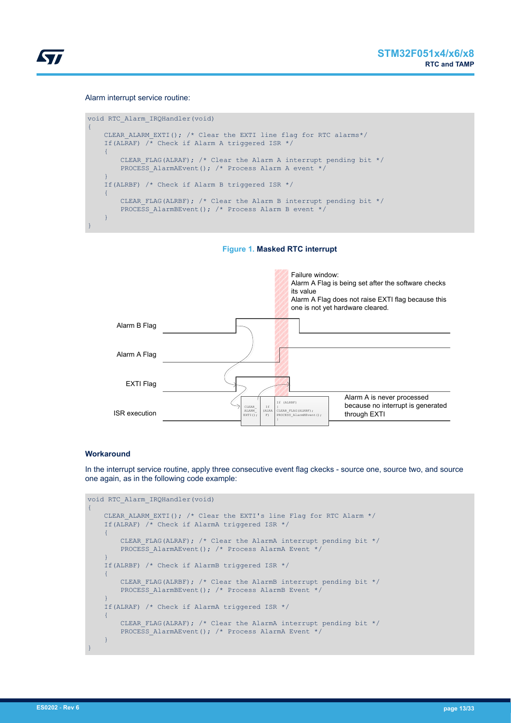

#### Alarm interrupt service routine:

```
void RTC_Alarm_IRQHandler(void)
{
    CLEAR ALARM EXTI(); /* Clear the EXTI line flag for RTC alarms*/
     If(ALRAF) /* Check if Alarm A triggered ISR */
     {
        CLEAR FLAG(ALRAF); \frac{1}{x} Clear the Alarm A interrupt pending bit */
        PROCESS AlarmAEvent(); /* Process Alarm A event */
     }
     If(ALRBF) /* Check if Alarm B triggered ISR */
     {
         CLEAR_FLAG(ALRBF); /* Clear the Alarm B interrupt pending bit */
        PROCESS AlarmBEvent(); /* Process Alarm B event */
     }
}
```
**Figure 1. Masked RTC interrupt**



#### **Workaround**

In the interrupt service routine, apply three consecutive event flag ckecks - source one, source two, and source one again, as in the following code example:

```
void RTC_Alarm_IRQHandler(void)
{
    CLEAR ALARM EXTI(); /* Clear the EXTI's line Flag for RTC Alarm */
     If(ALRAF) /* Check if AlarmA triggered ISR */
     {
        CLEAR FLAG(ALRAF); /* Clear the AlarmA interrupt pending bit */
         PROCESS_AlarmAEvent(); /* Process AlarmA Event */
     }
     If(ALRBF) /* Check if AlarmB triggered ISR */
     {
        CLEAR FLAG(ALRBF); /* Clear the AlarmB interrupt pending bit */
        PROCESS AlarmBEvent(); /* Process AlarmB Event */
     }
     If(ALRAF) /* Check if AlarmA triggered ISR */
     {
        CLEAR FLAG(ALRAF); /* Clear the AlarmA interrupt pending bit */
        PROCESS AlarmAEvent(); /* Process AlarmA Event */
     }
}
```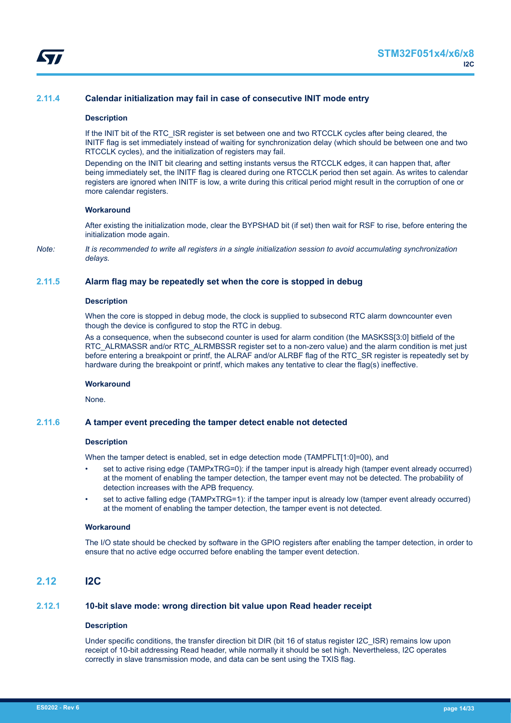<span id="page-13-0"></span>

### **2.11.4 Calendar initialization may fail in case of consecutive INIT mode entry**

#### **Description**

If the INIT bit of the RTC\_ISR register is set between one and two RTCCLK cycles after being cleared, the INITF flag is set immediately instead of waiting for synchronization delay (which should be between one and two RTCCLK cycles), and the initialization of registers may fail.

Depending on the INIT bit clearing and setting instants versus the RTCCLK edges, it can happen that, after being immediately set, the INITF flag is cleared during one RTCCLK period then set again. As writes to calendar registers are ignored when INITF is low, a write during this critical period might result in the corruption of one or more calendar registers.

#### **Workaround**

After existing the initialization mode, clear the BYPSHAD bit (if set) then wait for RSF to rise, before entering the initialization mode again.

*Note: It is recommended to write all registers in a single initialization session to avoid accumulating synchronization delays.*

#### **2.11.5 Alarm flag may be repeatedly set when the core is stopped in debug**

#### **Description**

When the core is stopped in debug mode, the clock is supplied to subsecond RTC alarm downcounter even though the device is configured to stop the RTC in debug.

As a consequence, when the subsecond counter is used for alarm condition (the MASKSS[3:0] bitfield of the RTC\_ALRMASSR and/or RTC\_ALRMBSSR register set to a non-zero value) and the alarm condition is met just before entering a breakpoint or printf, the ALRAF and/or ALRBF flag of the RTC\_SR register is repeatedly set by hardware during the breakpoint or printf, which makes any tentative to clear the flag(s) ineffective.

#### **Workaround**

None.

#### **2.11.6 A tamper event preceding the tamper detect enable not detected**

#### **Description**

When the tamper detect is enabled, set in edge detection mode (TAMPFLT[1:0]=00), and

- set to active rising edge (TAMPxTRG=0): if the tamper input is already high (tamper event already occurred) at the moment of enabling the tamper detection, the tamper event may not be detected. The probability of detection increases with the APB frequency.
- set to active falling edge (TAMPxTRG=1): if the tamper input is already low (tamper event already occurred) at the moment of enabling the tamper detection, the tamper event is not detected.

#### **Workaround**

The I/O state should be checked by software in the GPIO registers after enabling the tamper detection, in order to ensure that no active edge occurred before enabling the tamper event detection.

## **2.12 I2C**

### **2.12.1 10-bit slave mode: wrong direction bit value upon Read header receipt**

#### **Description**

Under specific conditions, the transfer direction bit DIR (bit 16 of status register I2C\_ISR) remains low upon receipt of 10-bit addressing Read header, while normally it should be set high. Nevertheless, I2C operates correctly in slave transmission mode, and data can be sent using the TXIS flag.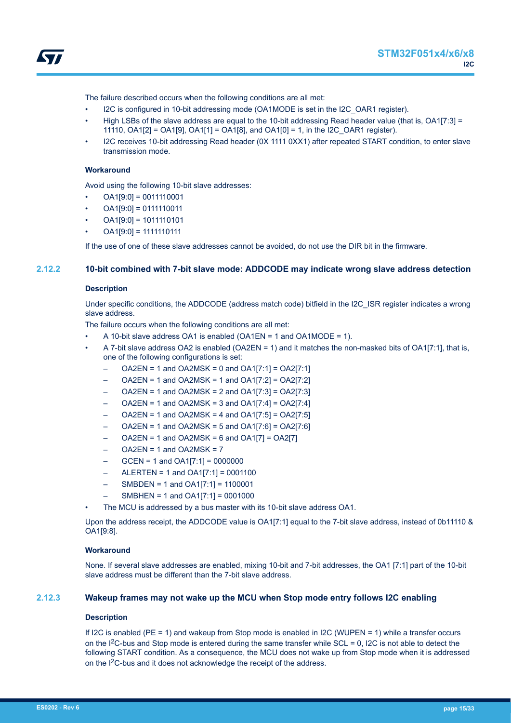<span id="page-14-0"></span>

The failure described occurs when the following conditions are all met:

- I2C is configured in 10-bit addressing mode (OA1MODE is set in the I2C\_OAR1 register).
- High LSBs of the slave address are equal to the 10-bit addressing Read header value (that is, OA1[7:3] = 11110, OA1[2] = OA1[9], OA1[1] = OA1[8], and OA1[0] = 1, in the I2C\_OAR1 register).
- I2C receives 10-bit addressing Read header (0X 1111 0XX1) after repeated START condition, to enter slave transmission mode.

#### **Workaround**

Avoid using the following 10-bit slave addresses:

- $OA1[9:0] = 0011110001$
- $OA1[9:0] = 0111110011$
- OA1[9:0] = 1011110101
- $OA1[9:0] = 1111110111$

If the use of one of these slave addresses cannot be avoided, do not use the DIR bit in the firmware.

### **2.12.2 10-bit combined with 7-bit slave mode: ADDCODE may indicate wrong slave address detection**

#### **Description**

Under specific conditions, the ADDCODE (address match code) bitfield in the I2C\_ISR register indicates a wrong slave address.

The failure occurs when the following conditions are all met:

- A 10-bit slave address OA1 is enabled (OA1EN = 1 and OA1MODE = 1).
- A 7-bit slave address OA2 is enabled (OA2EN = 1) and it matches the non-masked bits of OA1[7:1], that is, one of the following configurations is set:
	- $OAZEN = 1$  and  $OAZMSK = 0$  and  $OA1[7:1] = OA2[7:1]$
	- OA2EN = 1 and OA2MSK = 1 and OA1[7:2] = OA2[7:2]
	- $OAZEN = 1$  and  $OAZMSK = 2$  and  $OA1[7:3] = OA2[7:3]$
	- $OAZEN = 1$  and  $OAZMSK = 3$  and  $OA1[7:4] = OA2[7:4]$
	- $OAZEN = 1$  and  $OAZMSK = 4$  and  $OAI[7:5] = OA2[7:5]$
	- $OAZEN = 1$  and  $OAZMSK = 5$  and  $OA1[7:6] = OA2[7:6]$
	- $OAZEN = 1$  and  $OAZMSK = 6$  and  $OAI[7] = OA2[7]$
	- $OAZEN = 1$  and  $OAZMSK = 7$
	- GCEN = 1 and OA1[7:1] = 0000000
	- ALERTEN = 1 and OA1[7:1] = 0001100
	- SMBDEN = 1 and OA1[7:1] = 1100001
	- SMBHEN = 1 and OA1[7:1] = 0001000
- The MCU is addressed by a bus master with its 10-bit slave address OA1.

Upon the address receipt, the ADDCODE value is OA1[7:1] equal to the 7-bit slave address, instead of 0b11110 & OA1[9:8].

#### **Workaround**

None. If several slave addresses are enabled, mixing 10-bit and 7-bit addresses, the OA1 [7:1] part of the 10-bit slave address must be different than the 7-bit slave address.

### **2.12.3 Wakeup frames may not wake up the MCU when Stop mode entry follows I2C enabling**

#### **Description**

If I2C is enabled (PE = 1) and wakeup from Stop mode is enabled in I2C (WUPEN = 1) while a transfer occurs on the  $1<sup>2</sup>C$ -bus and Stop mode is entered during the same transfer while SCL = 0, I2C is not able to detect the following START condition. As a consequence, the MCU does not wake up from Stop mode when it is addressed on the I2C-bus and it does not acknowledge the receipt of the address.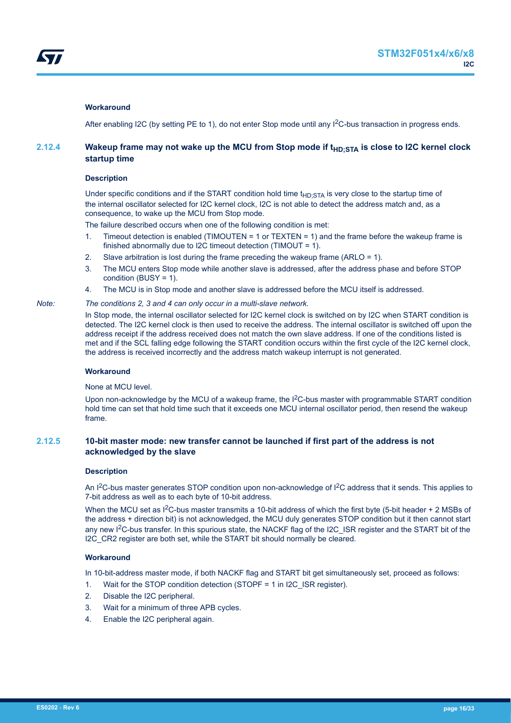#### <span id="page-15-0"></span>**Workaround**

After enabling I2C (by setting PE to 1), do not enter Stop mode until any  $1<sup>2</sup>C$ -bus transaction in progress ends.

### **2.12.4 Wakeup frame may not wake up the MCU from Stop mode if t<sub>HD</sub>**  $\text{STA}$  **is close to I2C kernel clock startup time**

#### **Description**

Under specific conditions and if the START condition hold time  $t_{HD:STA}$  is very close to the startup time of the internal oscillator selected for I2C kernel clock, I2C is not able to detect the address match and, as a consequence, to wake up the MCU from Stop mode.

The failure described occurs when one of the following condition is met:

- 1. Timeout detection is enabled (TIMOUTEN = 1 or TEXTEN = 1) and the frame before the wakeup frame is finished abnormally due to I2C timeout detection (TIMOUT = 1).
- 2. Slave arbitration is lost during the frame preceding the wakeup frame (ARLO = 1).
- 3. The MCU enters Stop mode while another slave is addressed, after the address phase and before STOP condition (BUSY = 1).
- 4. The MCU is in Stop mode and another slave is addressed before the MCU itself is addressed.

#### *Note: The conditions 2, 3 and 4 can only occur in a multi-slave network.*

In Stop mode, the internal oscillator selected for I2C kernel clock is switched on by I2C when START condition is detected. The I2C kernel clock is then used to receive the address. The internal oscillator is switched off upon the address receipt if the address received does not match the own slave address. If one of the conditions listed is met and if the SCL falling edge following the START condition occurs within the first cycle of the I2C kernel clock, the address is received incorrectly and the address match wakeup interrupt is not generated.

#### **Workaround**

None at MCU level.

Upon non-acknowledge by the MCU of a wakeup frame, the I<sup>2</sup>C-bus master with programmable START condition hold time can set that hold time such that it exceeds one MCU internal oscillator period, then resend the wakeup frame.

### **2.12.5 10-bit master mode: new transfer cannot be launched if first part of the address is not acknowledged by the slave**

#### **Description**

An I<sup>2</sup>C-bus master generates STOP condition upon non-acknowledge of I<sup>2</sup>C address that it sends. This applies to 7-bit address as well as to each byte of 10-bit address.

When the MCU set as  $1^2C$ -bus master transmits a 10-bit address of which the first byte (5-bit header + 2 MSBs of the address + direction bit) is not acknowledged, the MCU duly generates STOP condition but it then cannot start any new I2C-bus transfer. In this spurious state, the NACKF flag of the I2C\_ISR register and the START bit of the I2C CR2 register are both set, while the START bit should normally be cleared.

### **Workaround**

In 10-bit-address master mode, if both NACKF flag and START bit get simultaneously set, proceed as follows:

- 1. Wait for the STOP condition detection (STOPF = 1 in I2C\_ISR register).
- 2. Disable the I2C peripheral.
- 3. Wait for a minimum of three APB cycles.
- 4. Enable the I2C peripheral again.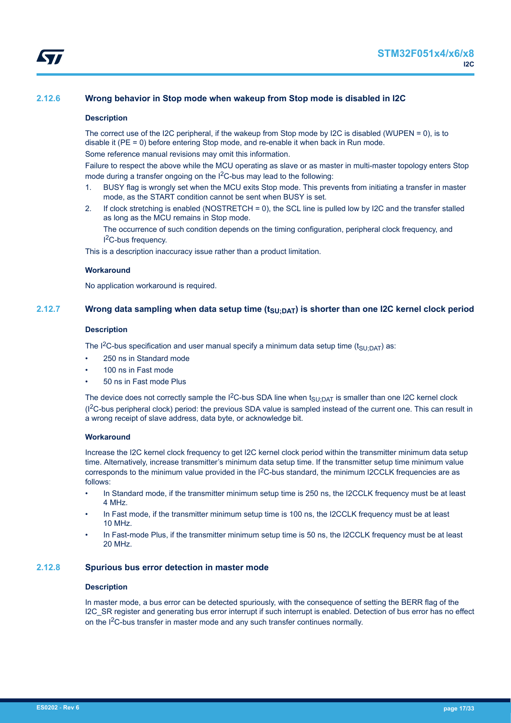## <span id="page-16-0"></span>**2.12.6 Wrong behavior in Stop mode when wakeup from Stop mode is disabled in I2C**

### **Description**

The correct use of the I2C peripheral, if the wakeup from Stop mode by I2C is disabled (WUPEN = 0), is to disable it (PE = 0) before entering Stop mode, and re-enable it when back in Run mode.

Some reference manual revisions may omit this information.

Failure to respect the above while the MCU operating as slave or as master in multi-master topology enters Stop mode during a transfer ongoing on the I<sup>2</sup>C-bus may lead to the following:

- 1. BUSY flag is wrongly set when the MCU exits Stop mode. This prevents from initiating a transfer in master mode, as the START condition cannot be sent when BUSY is set.
- 2. If clock stretching is enabled (NOSTRETCH = 0), the SCL line is pulled low by I2C and the transfer stalled as long as the MCU remains in Stop mode.

The occurrence of such condition depends on the timing configuration, peripheral clock frequency, and I <sup>2</sup>C-bus frequency.

This is a description inaccuracy issue rather than a product limitation.

### **Workaround**

No application workaround is required.

## **2.12.7 Wrong data sampling when data setup time (tSU;DAT) is shorter than one I2C kernel clock period**

#### **Description**

The I<sup>2</sup>C-bus specification and user manual specify a minimum data setup time (t<sub>SU:DAT</sub>) as:

- 250 ns in Standard mode
- 100 ns in Fast mode
- 50 ns in Fast mode Plus

The device does not correctly sample the I<sup>2</sup>C-bus SDA line when  $t_{\text{SU:DAT}}$  is smaller than one I2C kernel clock (I2C-bus peripheral clock) period: the previous SDA value is sampled instead of the current one. This can result in a wrong receipt of slave address, data byte, or acknowledge bit.

### **Workaround**

Increase the I2C kernel clock frequency to get I2C kernel clock period within the transmitter minimum data setup time. Alternatively, increase transmitter's minimum data setup time. If the transmitter setup time minimum value corresponds to the minimum value provided in the I<sup>2</sup>C-bus standard, the minimum I2CCLK frequencies are as follows:

- In Standard mode, if the transmitter minimum setup time is 250 ns, the I2CCLK frequency must be at least 4 MHz.
- In Fast mode, if the transmitter minimum setup time is 100 ns, the I2CCLK frequency must be at least 10 MHz.
- In Fast-mode Plus, if the transmitter minimum setup time is 50 ns, the I2CCLK frequency must be at least 20 MHz.

### **2.12.8 Spurious bus error detection in master mode**

### **Description**

In master mode, a bus error can be detected spuriously, with the consequence of setting the BERR flag of the I2C\_SR register and generating bus error interrupt if such interrupt is enabled. Detection of bus error has no effect on the I2C-bus transfer in master mode and any such transfer continues normally.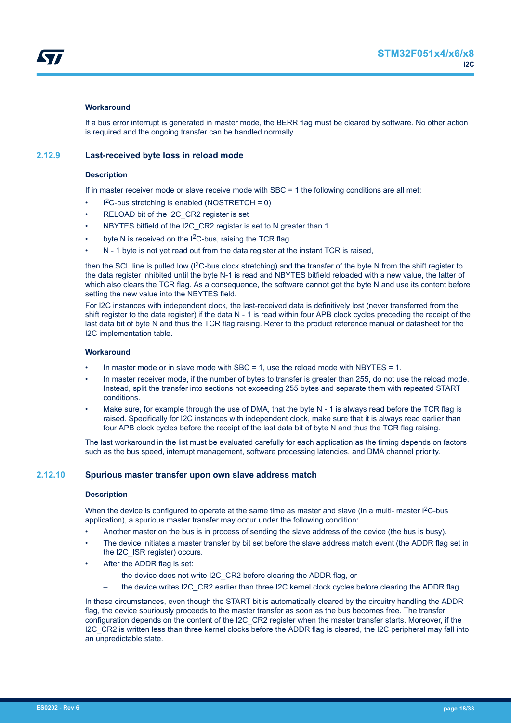<span id="page-17-0"></span>

#### **Workaround**

If a bus error interrupt is generated in master mode, the BERR flag must be cleared by software. No other action is required and the ongoing transfer can be handled normally.

### **2.12.9 Last-received byte loss in reload mode**

#### **Description**

If in master receiver mode or slave receive mode with SBC = 1 the following conditions are all met:

- $l^2C$ -bus stretching is enabled (NOSTRETCH = 0)
- RELOAD bit of the I2C\_CR2 register is set
- NBYTES bitfield of the I2C\_CR2 register is set to N greater than 1
- byte N is received on the  $1<sup>2</sup>C$ -bus, raising the TCR flag
- N 1 byte is not yet read out from the data register at the instant TCR is raised,

then the SCL line is pulled low (I<sup>2</sup>C-bus clock stretching) and the transfer of the byte N from the shift register to the data register inhibited until the byte N-1 is read and NBYTES bitfield reloaded with a new value, the latter of which also clears the TCR flag. As a consequence, the software cannot get the byte N and use its content before setting the new value into the NBYTES field.

For I2C instances with independent clock, the last-received data is definitively lost (never transferred from the shift register to the data register) if the data N - 1 is read within four APB clock cycles preceding the receipt of the last data bit of byte N and thus the TCR flag raising. Refer to the product reference manual or datasheet for the I2C implementation table.

#### **Workaround**

- In master mode or in slave mode with SBC = 1, use the reload mode with NBYTES = 1.
- In master receiver mode, if the number of bytes to transfer is greater than 255, do not use the reload mode. Instead, split the transfer into sections not exceeding 255 bytes and separate them with repeated START conditions.
- Make sure, for example through the use of DMA, that the byte N 1 is always read before the TCR flag is raised. Specifically for I2C instances with independent clock, make sure that it is always read earlier than four APB clock cycles before the receipt of the last data bit of byte N and thus the TCR flag raising.

The last workaround in the list must be evaluated carefully for each application as the timing depends on factors such as the bus speed, interrupt management, software processing latencies, and DMA channel priority.

#### **2.12.10 Spurious master transfer upon own slave address match**

#### **Description**

When the device is configured to operate at the same time as master and slave (in a multi- master  $1<sup>2</sup>C$ -bus application), a spurious master transfer may occur under the following condition:

- Another master on the bus is in process of sending the slave address of the device (the bus is busy).
- The device initiates a master transfer by bit set before the slave address match event (the ADDR flag set in the I2C\_ISR register) occurs.
- After the ADDR flag is set:
	- the device does not write I2C\_CR2 before clearing the ADDR flag, or
	- the device writes I2C\_CR2 earlier than three I2C kernel clock cycles before clearing the ADDR flag

In these circumstances, even though the START bit is automatically cleared by the circuitry handling the ADDR flag, the device spuriously proceeds to the master transfer as soon as the bus becomes free. The transfer configuration depends on the content of the I2C\_CR2 register when the master transfer starts. Moreover, if the I2C\_CR2 is written less than three kernel clocks before the ADDR flag is cleared, the I2C peripheral may fall into an unpredictable state.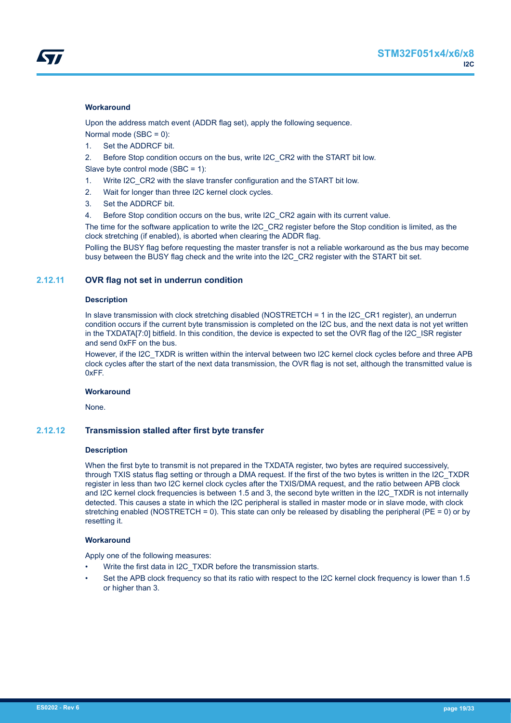#### <span id="page-18-0"></span>**Workaround**

Upon the address match event (ADDR flag set), apply the following sequence.

- Normal mode (SBC = 0):
- 1. Set the ADDRCF bit.
- 2. Before Stop condition occurs on the bus, write I2C CR2 with the START bit low.

Slave byte control mode (SBC = 1):

- 1. Write I2C\_CR2 with the slave transfer configuration and the START bit low.
- 2. Wait for longer than three I2C kernel clock cycles.
- 3. Set the ADDRCF bit.
- 4. Before Stop condition occurs on the bus, write I2C\_CR2 again with its current value.

The time for the software application to write the I2C\_CR2 register before the Stop condition is limited, as the clock stretching (if enabled), is aborted when clearing the ADDR flag.

Polling the BUSY flag before requesting the master transfer is not a reliable workaround as the bus may become busy between the BUSY flag check and the write into the I2C\_CR2 register with the START bit set.

### **2.12.11 OVR flag not set in underrun condition**

#### **Description**

In slave transmission with clock stretching disabled (NOSTRETCH = 1 in the I2C\_CR1 register), an underrun condition occurs if the current byte transmission is completed on the I2C bus, and the next data is not yet written in the TXDATA[7:0] bitfield. In this condition, the device is expected to set the OVR flag of the I2C\_ISR register and send 0xFF on the bus.

However, if the I2C TXDR is written within the interval between two I2C kernel clock cycles before and three APB clock cycles after the start of the next data transmission, the OVR flag is not set, although the transmitted value is 0xFF.

### **Workaround**

None.

### **2.12.12 Transmission stalled after first byte transfer**

#### **Description**

When the first byte to transmit is not prepared in the TXDATA register, two bytes are required successively, through TXIS status flag setting or through a DMA request. If the first of the two bytes is written in the I2C\_TXDR register in less than two I2C kernel clock cycles after the TXIS/DMA request, and the ratio between APB clock and I2C kernel clock frequencies is between 1.5 and 3, the second byte written in the I2C\_TXDR is not internally detected. This causes a state in which the I2C peripheral is stalled in master mode or in slave mode, with clock stretching enabled (NOSTRETCH = 0). This state can only be released by disabling the peripheral (PE = 0) or by resetting it.

### **Workaround**

Apply one of the following measures:

- Write the first data in I2C\_TXDR before the transmission starts.
- Set the APB clock frequency so that its ratio with respect to the I2C kernel clock frequency is lower than 1.5 or higher than 3.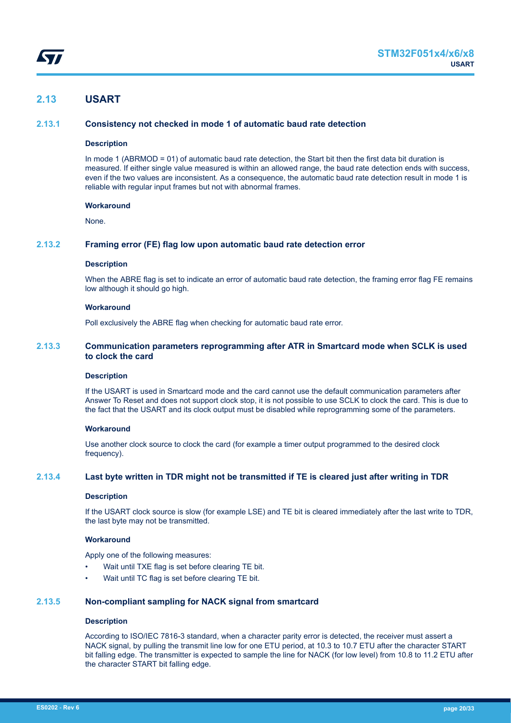## <span id="page-19-0"></span>**2.13 USART**

### **2.13.1 Consistency not checked in mode 1 of automatic baud rate detection**

#### **Description**

In mode 1 (ABRMOD = 01) of automatic baud rate detection, the Start bit then the first data bit duration is measured. If either single value measured is within an allowed range, the baud rate detection ends with success, even if the two values are inconsistent. As a consequence, the automatic baud rate detection result in mode 1 is reliable with regular input frames but not with abnormal frames.

#### **Workaround**

None.

### **2.13.2 Framing error (FE) flag low upon automatic baud rate detection error**

#### **Description**

When the ABRE flag is set to indicate an error of automatic baud rate detection, the framing error flag FE remains low although it should go high.

#### **Workaround**

Poll exclusively the ABRE flag when checking for automatic baud rate error.

### **2.13.3 Communication parameters reprogramming after ATR in Smartcard mode when SCLK is used to clock the card**

#### **Description**

If the USART is used in Smartcard mode and the card cannot use the default communication parameters after Answer To Reset and does not support clock stop, it is not possible to use SCLK to clock the card. This is due to the fact that the USART and its clock output must be disabled while reprogramming some of the parameters.

#### **Workaround**

Use another clock source to clock the card (for example a timer output programmed to the desired clock frequency).

### **2.13.4 Last byte written in TDR might not be transmitted if TE is cleared just after writing in TDR**

#### **Description**

If the USART clock source is slow (for example LSE) and TE bit is cleared immediately after the last write to TDR, the last byte may not be transmitted.

### **Workaround**

Apply one of the following measures:

- Wait until TXE flag is set before clearing TE bit.
- Wait until TC flag is set before clearing TE bit.

#### **2.13.5 Non-compliant sampling for NACK signal from smartcard**

#### **Description**

According to ISO/IEC 7816-3 standard, when a character parity error is detected, the receiver must assert a NACK signal, by pulling the transmit line low for one ETU period, at 10.3 to 10.7 ETU after the character START bit falling edge. The transmitter is expected to sample the line for NACK (for low level) from 10.8 to 11.2 ETU after the character START bit falling edge.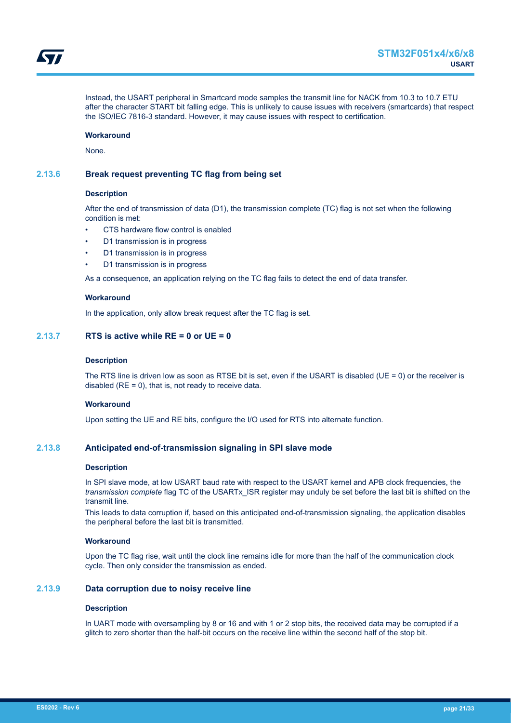<span id="page-20-0"></span>Instead, the USART peripheral in Smartcard mode samples the transmit line for NACK from 10.3 to 10.7 ETU after the character START bit falling edge. This is unlikely to cause issues with receivers (smartcards) that respect the ISO/IEC 7816-3 standard. However, it may cause issues with respect to certification.

#### **Workaround**

None.

### **2.13.6 Break request preventing TC flag from being set**

#### **Description**

After the end of transmission of data (D1), the transmission complete (TC) flag is not set when the following condition is met:

- CTS hardware flow control is enabled
- D1 transmission is in progress
- D1 transmission is in progress
- D1 transmission is in progress

As a consequence, an application relying on the TC flag fails to detect the end of data transfer.

#### **Workaround**

In the application, only allow break request after the TC flag is set.

### **2.13.7 RTS is active while RE = 0 or UE = 0**

#### **Description**

The RTS line is driven low as soon as RTSE bit is set, even if the USART is disabled (UE = 0) or the receiver is disabled  $(RE = 0)$ , that is, not ready to receive data.

#### **Workaround**

Upon setting the UE and RE bits, configure the I/O used for RTS into alternate function.

### **2.13.8 Anticipated end-of-transmission signaling in SPI slave mode**

#### **Description**

In SPI slave mode, at low USART baud rate with respect to the USART kernel and APB clock frequencies, the *transmission complete* flag TC of the USARTx\_ISR register may unduly be set before the last bit is shifted on the transmit line.

This leads to data corruption if, based on this anticipated end-of-transmission signaling, the application disables the peripheral before the last bit is transmitted.

### **Workaround**

Upon the TC flag rise, wait until the clock line remains idle for more than the half of the communication clock cycle. Then only consider the transmission as ended.

#### **2.13.9 Data corruption due to noisy receive line**

#### **Description**

In UART mode with oversampling by 8 or 16 and with 1 or 2 stop bits, the received data may be corrupted if a glitch to zero shorter than the half-bit occurs on the receive line within the second half of the stop bit.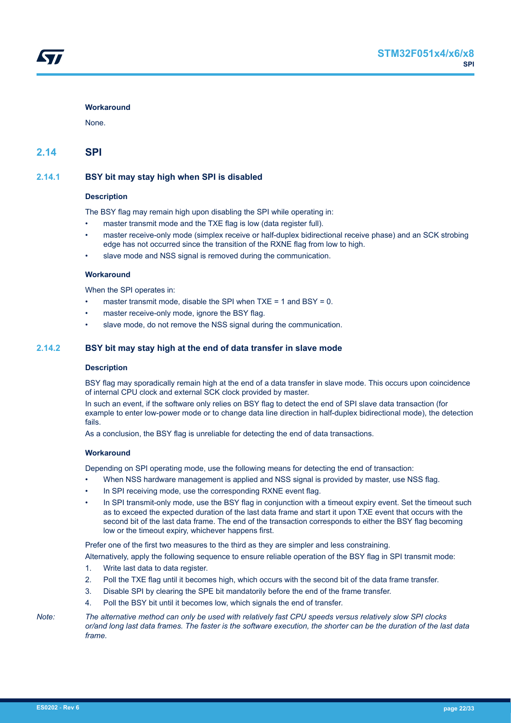#### <span id="page-21-0"></span>**Workaround**

None.

## **2.14 SPI**

### **2.14.1 BSY bit may stay high when SPI is disabled**

#### **Description**

The BSY flag may remain high upon disabling the SPI while operating in:

- master transmit mode and the TXE flag is low (data register full).
- master receive-only mode (simplex receive or half-duplex bidirectional receive phase) and an SCK strobing edge has not occurred since the transition of the RXNE flag from low to high.
- slave mode and NSS signal is removed during the communication.

#### **Workaround**

When the SPI operates in:

- master transmit mode, disable the SPI when  $TXE = 1$  and  $BSY = 0$ .
- master receive-only mode, ignore the BSY flag.
- slave mode, do not remove the NSS signal during the communication.

#### **2.14.2 BSY bit may stay high at the end of data transfer in slave mode**

#### **Description**

BSY flag may sporadically remain high at the end of a data transfer in slave mode. This occurs upon coincidence of internal CPU clock and external SCK clock provided by master.

In such an event, if the software only relies on BSY flag to detect the end of SPI slave data transaction (for example to enter low-power mode or to change data line direction in half-duplex bidirectional mode), the detection fails.

As a conclusion, the BSY flag is unreliable for detecting the end of data transactions.

#### **Workaround**

Depending on SPI operating mode, use the following means for detecting the end of transaction:

- When NSS hardware management is applied and NSS signal is provided by master, use NSS flag.
- In SPI receiving mode, use the corresponding RXNE event flag.
- In SPI transmit-only mode, use the BSY flag in conjunction with a timeout expiry event. Set the timeout such as to exceed the expected duration of the last data frame and start it upon TXE event that occurs with the second bit of the last data frame. The end of the transaction corresponds to either the BSY flag becoming low or the timeout expiry, whichever happens first.

Prefer one of the first two measures to the third as they are simpler and less constraining.

Alternatively, apply the following sequence to ensure reliable operation of the BSY flag in SPI transmit mode:

- 1. Write last data to data register.
- 2. Poll the TXE flag until it becomes high, which occurs with the second bit of the data frame transfer.
- 3. Disable SPI by clearing the SPE bit mandatorily before the end of the frame transfer.
- 4. Poll the BSY bit until it becomes low, which signals the end of transfer.

*Note: The alternative method can only be used with relatively fast CPU speeds versus relatively slow SPI clocks or/and long last data frames. The faster is the software execution, the shorter can be the duration of the last data frame.*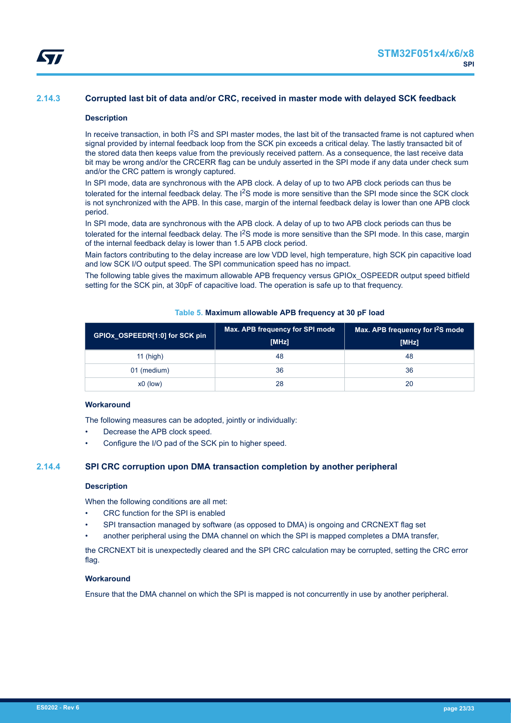### <span id="page-22-0"></span>**2.14.3 Corrupted last bit of data and/or CRC, received in master mode with delayed SCK feedback**

#### **Description**

In receive transaction, in both I<sup>2</sup>S and SPI master modes, the last bit of the transacted frame is not captured when signal provided by internal feedback loop from the SCK pin exceeds a critical delay. The lastly transacted bit of the stored data then keeps value from the previously received pattern. As a consequence, the last receive data bit may be wrong and/or the CRCERR flag can be unduly asserted in the SPI mode if any data under check sum and/or the CRC pattern is wrongly captured.

In SPI mode, data are synchronous with the APB clock. A delay of up to two APB clock periods can thus be tolerated for the internal feedback delay. The I<sup>2</sup>S mode is more sensitive than the SPI mode since the SCK clock is not synchronized with the APB. In this case, margin of the internal feedback delay is lower than one APB clock period.

In SPI mode, data are synchronous with the APB clock. A delay of up to two APB clock periods can thus be tolerated for the internal feedback delay. The I<sup>2</sup>S mode is more sensitive than the SPI mode. In this case, margin of the internal feedback delay is lower than 1.5 APB clock period.

Main factors contributing to the delay increase are low VDD level, high temperature, high SCK pin capacitive load and low SCK I/O output speed. The SPI communication speed has no impact.

The following table gives the maximum allowable APB frequency versus GPIOx\_OSPEEDR output speed bitfield setting for the SCK pin, at 30pF of capacitive load. The operation is safe up to that frequency.

| GPIOx OSPEEDR[1:0] for SCK pin | Max. APB frequency for SPI mode<br>[MHz] | Max. APB frequency for I <sup>2</sup> S mode<br>[MHz] |
|--------------------------------|------------------------------------------|-------------------------------------------------------|
| $11$ (high)                    | 48                                       | 48                                                    |
| 01 (medium)                    | 36                                       | 36                                                    |
| $x0$ (low)                     | 28                                       | 20                                                    |

#### **Table 5. Maximum allowable APB frequency at 30 pF load**

#### **Workaround**

The following measures can be adopted, jointly or individually:

- Decrease the APB clock speed.
- Configure the I/O pad of the SCK pin to higher speed.

### **2.14.4 SPI CRC corruption upon DMA transaction completion by another peripheral**

#### **Description**

When the following conditions are all met:

- CRC function for the SPI is enabled
- SPI transaction managed by software (as opposed to DMA) is ongoing and CRCNEXT flag set
- another peripheral using the DMA channel on which the SPI is mapped completes a DMA transfer,

the CRCNEXT bit is unexpectedly cleared and the SPI CRC calculation may be corrupted, setting the CRC error flag.

#### **Workaround**

Ensure that the DMA channel on which the SPI is mapped is not concurrently in use by another peripheral.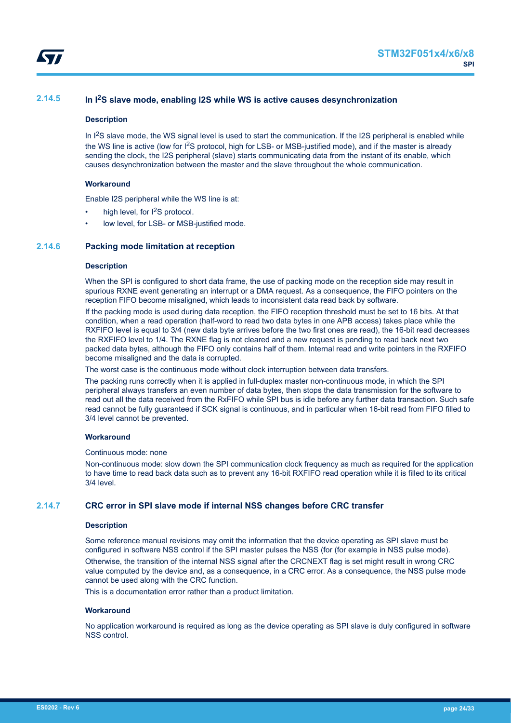<span id="page-23-0"></span>

### **2.14.5 In I2S slave mode, enabling I2S while WS is active causes desynchronization**

#### **Description**

In  $1<sup>2</sup>S$  slave mode, the WS signal level is used to start the communication. If the I2S peripheral is enabled while the WS line is active (low for I<sup>2</sup>S protocol, high for LSB- or MSB-justified mode), and if the master is already sending the clock, the I2S peripheral (slave) starts communicating data from the instant of its enable, which causes desynchronization between the master and the slave throughout the whole communication.

#### **Workaround**

Enable I2S peripheral while the WS line is at:

- high level, for I<sup>2</sup>S protocol.
- low level, for LSB- or MSB-justified mode.

#### **2.14.6 Packing mode limitation at reception**

#### **Description**

When the SPI is configured to short data frame, the use of packing mode on the reception side may result in spurious RXNE event generating an interrupt or a DMA request. As a consequence, the FIFO pointers on the reception FIFO become misaligned, which leads to inconsistent data read back by software.

If the packing mode is used during data reception, the FIFO reception threshold must be set to 16 bits. At that condition, when a read operation (half-word to read two data bytes in one APB access) takes place while the RXFIFO level is equal to 3/4 (new data byte arrives before the two first ones are read), the 16-bit read decreases the RXFIFO level to 1/4. The RXNE flag is not cleared and a new request is pending to read back next two packed data bytes, although the FIFO only contains half of them. Internal read and write pointers in the RXFIFO become misaligned and the data is corrupted.

The worst case is the continuous mode without clock interruption between data transfers.

The packing runs correctly when it is applied in full-duplex master non-continuous mode, in which the SPI peripheral always transfers an even number of data bytes, then stops the data transmission for the software to read out all the data received from the RxFIFO while SPI bus is idle before any further data transaction. Such safe read cannot be fully guaranteed if SCK signal is continuous, and in particular when 16-bit read from FIFO filled to 3/4 level cannot be prevented.

#### **Workaround**

#### Continuous mode: none

Non-continuous mode: slow down the SPI communication clock frequency as much as required for the application to have time to read back data such as to prevent any 16-bit RXFIFO read operation while it is filled to its critical 3/4 level.

#### **2.14.7 CRC error in SPI slave mode if internal NSS changes before CRC transfer**

#### **Description**

Some reference manual revisions may omit the information that the device operating as SPI slave must be configured in software NSS control if the SPI master pulses the NSS (for (for example in NSS pulse mode). Otherwise, the transition of the internal NSS signal after the CRCNEXT flag is set might result in wrong CRC value computed by the device and, as a consequence, in a CRC error. As a consequence, the NSS pulse mode cannot be used along with the CRC function.

This is a documentation error rather than a product limitation.

#### **Workaround**

No application workaround is required as long as the device operating as SPI slave is duly configured in software NSS control.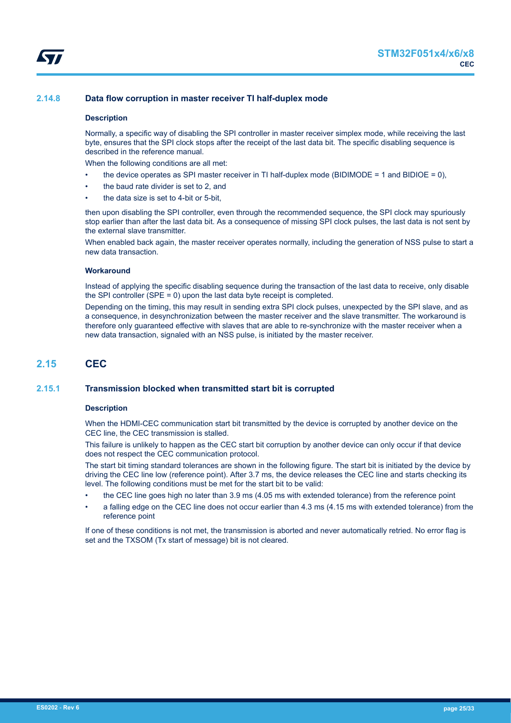## <span id="page-24-0"></span>**2.14.8 Data flow corruption in master receiver TI half-duplex mode**

### **Description**

Normally, a specific way of disabling the SPI controller in master receiver simplex mode, while receiving the last byte, ensures that the SPI clock stops after the receipt of the last data bit. The specific disabling sequence is described in the reference manual.

When the following conditions are all met:

- the device operates as SPI master receiver in TI half-duplex mode (BIDIMODE = 1 and BIDIOE = 0),
- the baud rate divider is set to 2, and
- the data size is set to 4-bit or 5-bit.

then upon disabling the SPI controller, even through the recommended sequence, the SPI clock may spuriously stop earlier than after the last data bit. As a consequence of missing SPI clock pulses, the last data is not sent by the external slave transmitter.

When enabled back again, the master receiver operates normally, including the generation of NSS pulse to start a new data transaction.

#### **Workaround**

Instead of applying the specific disabling sequence during the transaction of the last data to receive, only disable the SPI controller (SPE = 0) upon the last data byte receipt is completed.

Depending on the timing, this may result in sending extra SPI clock pulses, unexpected by the SPI slave, and as a consequence, in desynchronization between the master receiver and the slave transmitter. The workaround is therefore only guaranteed effective with slaves that are able to re-synchronize with the master receiver when a new data transaction, signaled with an NSS pulse, is initiated by the master receiver.

## **2.15 CEC**

### **2.15.1 Transmission blocked when transmitted start bit is corrupted**

#### **Description**

When the HDMI-CEC communication start bit transmitted by the device is corrupted by another device on the CEC line, the CEC transmission is stalled.

This failure is unlikely to happen as the CEC start bit corruption by another device can only occur if that device does not respect the CEC communication protocol.

The start bit timing standard tolerances are shown in the following figure. The start bit is initiated by the device by driving the CEC line low (reference point). After 3.7 ms, the device releases the CEC line and starts checking its level. The following conditions must be met for the start bit to be valid:

- the CEC line goes high no later than 3.9 ms (4.05 ms with extended tolerance) from the reference point
- a falling edge on the CEC line does not occur earlier than 4.3 ms (4.15 ms with extended tolerance) from the reference point

If one of these conditions is not met, the transmission is aborted and never automatically retried. No error flag is set and the TXSOM (Tx start of message) bit is not cleared.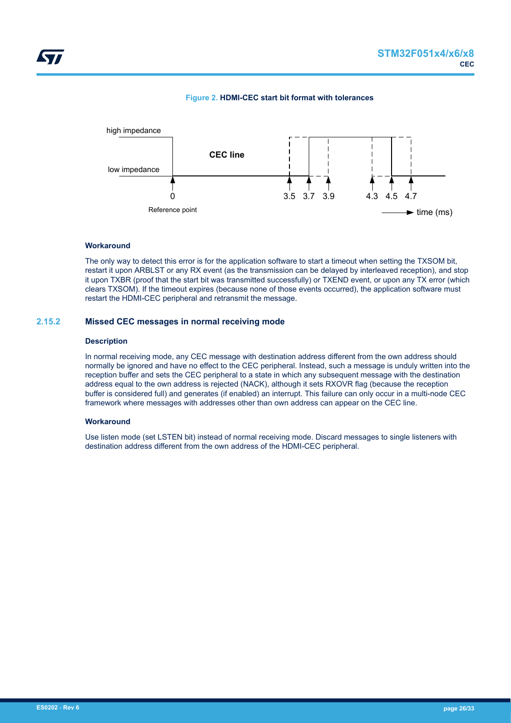

<span id="page-25-0"></span>

#### **Workaround**

The only way to detect this error is for the application software to start a timeout when setting the TXSOM bit, restart it upon ARBLST or any RX event (as the transmission can be delayed by interleaved reception), and stop it upon TXBR (proof that the start bit was transmitted successfully) or TXEND event, or upon any TX error (which clears TXSOM). If the timeout expires (because none of those events occurred), the application software must restart the HDMI-CEC peripheral and retransmit the message.

### **2.15.2 Missed CEC messages in normal receiving mode**

#### **Description**

In normal receiving mode, any CEC message with destination address different from the own address should normally be ignored and have no effect to the CEC peripheral. Instead, such a message is unduly written into the reception buffer and sets the CEC peripheral to a state in which any subsequent message with the destination address equal to the own address is rejected (NACK), although it sets RXOVR flag (because the reception buffer is considered full) and generates (if enabled) an interrupt. This failure can only occur in a multi-node CEC framework where messages with addresses other than own address can appear on the CEC line.

#### **Workaround**

Use listen mode (set LSTEN bit) instead of normal receiving mode. Discard messages to single listeners with destination address different from the own address of the HDMI-CEC peripheral.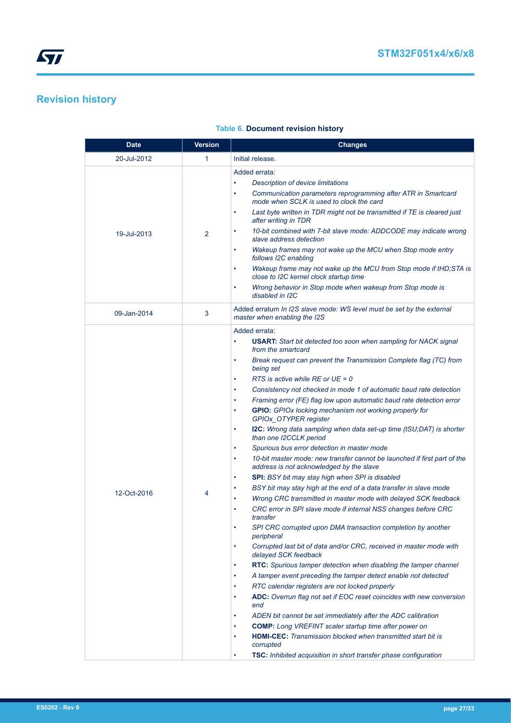# <span id="page-26-0"></span>**Revision history**

| <b>Date</b> | <b>Version</b> | <b>Changes</b>                                                                                                                    |
|-------------|----------------|-----------------------------------------------------------------------------------------------------------------------------------|
| 20-Jul-2012 | 1              | Initial release.                                                                                                                  |
|             |                | Added errata:                                                                                                                     |
|             |                | <b>Description of device limitations</b><br>$\bullet$                                                                             |
|             |                | Communication parameters reprogramming after ATR in Smartcard<br>$\bullet$<br>mode when SCLK is used to clock the card            |
|             |                | Last byte written in TDR might not be transmitted if TE is cleared just<br>$\bullet$<br>after writing in TDR                      |
| 19-Jul-2013 | 2              | 10-bit combined with 7-bit slave mode: ADDCODE may indicate wrong<br>slave address detection                                      |
|             |                | Wakeup frames may not wake up the MCU when Stop mode entry<br>$\bullet$<br>follows I2C enabling                                   |
|             |                | Wakeup frame may not wake up the MCU from Stop mode if tHD; STA is<br>$\bullet$<br>close to I2C kernel clock startup time         |
|             |                | Wrong behavior in Stop mode when wakeup from Stop mode is<br>$\bullet$<br>disabled in I2C                                         |
| 09-Jan-2014 | 3              | Added erratum In I2S slave mode: WS level must be set by the external<br>master when enabling the I2S                             |
|             |                |                                                                                                                                   |
|             |                | Added errata:<br><b>USART:</b> Start bit detected too soon when sampling for NACK signal<br>$\bullet$<br>from the smartcard       |
|             |                | Break request can prevent the Transmission Complete flag (TC) from<br>$\bullet$<br>being set                                      |
|             |                | RTS is active while RE or $UE = 0$<br>$\bullet$                                                                                   |
|             |                | Consistency not checked in mode 1 of automatic baud rate detection<br>٠                                                           |
|             |                | Framing error (FE) flag low upon automatic baud rate detection error<br>٠                                                         |
|             |                | GPIO: GPIOx locking mechanism not working properly for<br>٠<br>GPIOx_OTYPER register                                              |
|             |                | <b>I2C:</b> Wrong data sampling when data set-up time (tSU;DAT) is shorter<br>$\bullet$<br>than one I2CCLK period                 |
|             |                | Spurious bus error detection in master mode<br>$\bullet$                                                                          |
|             | 4              | 10-bit master mode: new transfer cannot be launched if first part of the<br>$\bullet$<br>address is not acknowledged by the slave |
|             |                | SPI: BSY bit may stay high when SPI is disabled<br>$\bullet$                                                                      |
| 12-Oct-2016 |                | BSY bit may stay high at the end of a data transfer in slave mode                                                                 |
|             |                | Wrong CRC transmitted in master mode with delayed SCK feedback<br>$\bullet$                                                       |
|             |                | CRC error in SPI slave mode if internal NSS changes before CRC<br>$\bullet$<br>transfer                                           |
|             |                | SPI CRC corrupted upon DMA transaction completion by another<br>$\bullet$<br>peripheral                                           |
|             |                | Corrupted last bit of data and/or CRC, received in master mode with<br>٠<br>delayed SCK feedback                                  |
|             |                | RTC: Spurious tamper detection when disabling the tamper channel<br>$\bullet$                                                     |
|             |                | A tamper event preceding the tamper detect enable not detected<br>$\bullet$                                                       |
|             |                | RTC calendar registers are not locked properly<br>٠                                                                               |
|             |                | ADC: Overrun flag not set if EOC reset coincides with new conversion<br>٠<br>end                                                  |
|             |                | ADEN bit cannot be set immediately after the ADC calibration<br>$\bullet$                                                         |
|             |                | <b>COMP:</b> Long VREFINT scaler startup time after power on<br>$\bullet$                                                         |
|             |                | <b>HDMI-CEC:</b> Transmission blocked when transmitted start bit is<br>٠<br>corrupted                                             |
|             |                | TSC: Inhibited acquisition in short transfer phase configuration<br>$\bullet$                                                     |

### **Table 6. Document revision history**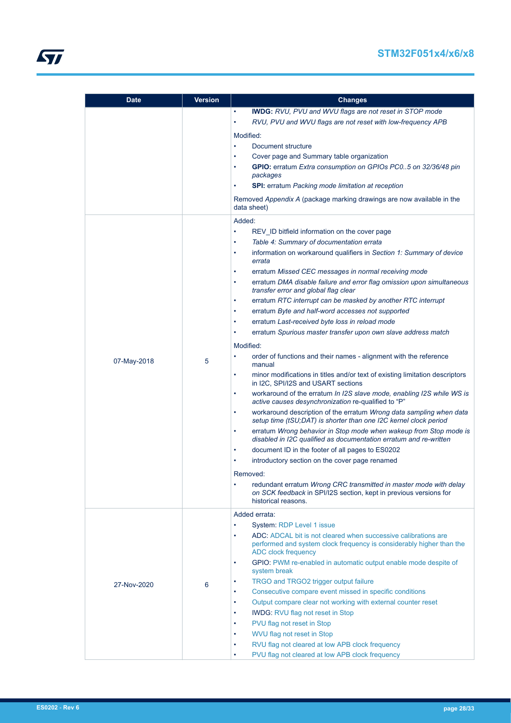## **STM32F051x4/x6/x8**

| <b>Date</b> | <b>Version</b> | <b>Changes</b>                                                                                                                                                             |
|-------------|----------------|----------------------------------------------------------------------------------------------------------------------------------------------------------------------------|
|             |                | <b>IWDG:</b> RVU, PVU and WVU flags are not reset in STOP mode                                                                                                             |
|             |                | RVU, PVU and WVU flags are not reset with low-frequency APB                                                                                                                |
|             |                | Modified:                                                                                                                                                                  |
|             |                | Document structure<br>$\bullet$                                                                                                                                            |
|             |                | Cover page and Summary table organization<br>٠                                                                                                                             |
|             |                | GPIO: erratum Extra consumption on GPIOs PC05 on 32/36/48 pin<br>٠                                                                                                         |
|             |                | packages                                                                                                                                                                   |
|             |                | <b>SPI:</b> erratum Packing mode limitation at reception<br>$\bullet$                                                                                                      |
|             |                | Removed Appendix A (package marking drawings are now available in the<br>data sheet)                                                                                       |
|             |                | Added:                                                                                                                                                                     |
|             |                | REV_ID bitfield information on the cover page                                                                                                                              |
|             |                | Table 4: Summary of documentation errata<br>٠                                                                                                                              |
|             |                | information on workaround qualifiers in Section 1: Summary of device<br>٠<br>errata                                                                                        |
|             |                | erratum Missed CEC messages in normal receiving mode<br>٠                                                                                                                  |
|             |                | erratum DMA disable failure and error flag omission upon simultaneous                                                                                                      |
|             |                | transfer error and global flag clear                                                                                                                                       |
|             |                | erratum RTC interrupt can be masked by another RTC interrupt<br>$\bullet$                                                                                                  |
|             |                | erratum Byte and half-word accesses not supported<br>٠                                                                                                                     |
|             |                | erratum Last-received byte loss in reload mode<br>٠                                                                                                                        |
|             |                | erratum Spurious master transfer upon own slave address match<br>$\bullet$                                                                                                 |
|             |                | Modified:                                                                                                                                                                  |
| 07-May-2018 | 5              | order of functions and their names - alignment with the reference<br>$\bullet$<br>manual                                                                                   |
|             |                | minor modifications in titles and/or text of existing limitation descriptors<br>٠<br>in I2C, SPI/I2S and USART sections                                                    |
|             |                | workaround of the erratum In I2S slave mode, enabling I2S while WS is<br>٠<br>active causes desynchronization re-qualified to "P"                                          |
|             |                | workaround description of the erratum Wrong data sampling when data<br>$\bullet$<br>setup time (tSU;DAT) is shorter than one I2C kernel clock period                       |
|             |                | erratum Wrong behavior in Stop mode when wakeup from Stop mode is<br>٠<br>disabled in I2C qualified as documentation erratum and re-written                                |
|             |                | document ID in the footer of all pages to ES0202<br>$\bullet$                                                                                                              |
|             |                | introductory section on the cover page renamed                                                                                                                             |
|             |                | Removed:                                                                                                                                                                   |
|             |                | redundant erratum Wrong CRC transmitted in master mode with delay<br>$\bullet$<br>on SCK feedback in SPI/I2S section, kept in previous versions for<br>historical reasons. |
|             |                | Added errata:                                                                                                                                                              |
|             |                | System: RDP Level 1 issue                                                                                                                                                  |
|             |                | ADC: ADCAL bit is not cleared when successive calibrations are<br>٠<br>performed and system clock frequency is considerably higher than the<br><b>ADC</b> clock frequency  |
|             |                | GPIO: PWM re-enabled in automatic output enable mode despite of<br>$\bullet$<br>system break                                                                               |
| 27-Nov-2020 | 6              | TRGO and TRGO2 trigger output failure<br>٠                                                                                                                                 |
|             |                | Consecutive compare event missed in specific conditions<br>$\bullet$                                                                                                       |
|             |                | Output compare clear not working with external counter reset<br>٠                                                                                                          |
|             |                | <b>IWDG: RVU flag not reset in Stop</b><br>$\bullet$                                                                                                                       |
|             |                | PVU flag not reset in Stop<br>$\bullet$                                                                                                                                    |
|             |                | WVU flag not reset in Stop<br>٠                                                                                                                                            |
|             |                | RVU flag not cleared at low APB clock frequency<br>$\bullet$                                                                                                               |
|             |                | PVU flag not cleared at low APB clock frequency<br>٠                                                                                                                       |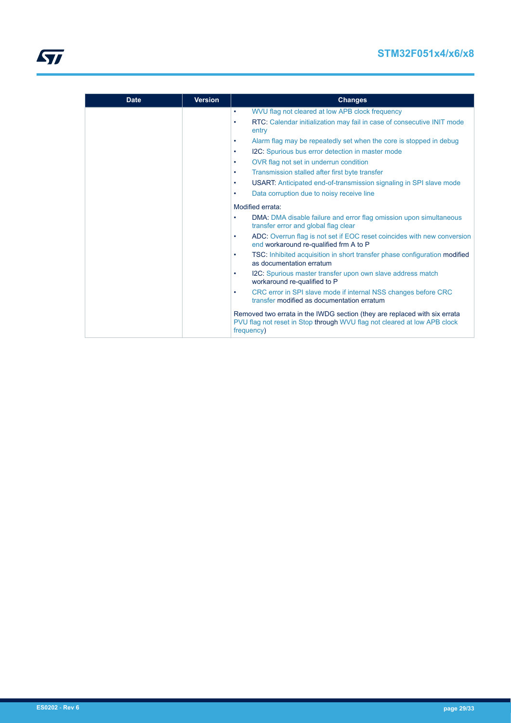## **STM32F051x4/x6/x8**

| <b>Date</b> | <b>Version</b> | <b>Changes</b>                                                                                                                                                      |
|-------------|----------------|---------------------------------------------------------------------------------------------------------------------------------------------------------------------|
|             |                | WVU flag not cleared at low APB clock frequency<br>٠                                                                                                                |
|             |                | RTC: Calendar initialization may fail in case of consecutive INIT mode<br>entry                                                                                     |
|             |                | Alarm flag may be repeatedly set when the core is stopped in debug<br>٠                                                                                             |
|             |                | I2C: Spurious bus error detection in master mode                                                                                                                    |
|             |                | OVR flag not set in underrun condition<br>٠                                                                                                                         |
|             |                | Transmission stalled after first byte transfer<br>٠                                                                                                                 |
|             |                | USART: Anticipated end-of-transmission signaling in SPI slave mode<br>٠                                                                                             |
|             |                | Data corruption due to noisy receive line                                                                                                                           |
|             |                | Modified errata:                                                                                                                                                    |
|             |                | DMA: DMA disable failure and error flag omission upon simultaneous<br>٠<br>transfer error and global flag clear                                                     |
|             |                | ADC: Overrun flag is not set if EOC reset coincides with new conversion<br>٠<br>end workaround re-qualified frm A to P                                              |
|             |                | TSC: Inhibited acquisition in short transfer phase configuration modified<br>٠<br>as documentation erratum                                                          |
|             |                | I2C: Spurious master transfer upon own slave address match<br>٠<br>workaround re-qualified to P                                                                     |
|             |                | CRC error in SPI slave mode if internal NSS changes before CRC<br>٠<br>transfer modified as documentation erratum                                                   |
|             |                | Removed two errata in the IWDG section (they are replaced with six errata<br>PVU flag not reset in Stop through WVU flag not cleared at low APB clock<br>frequency) |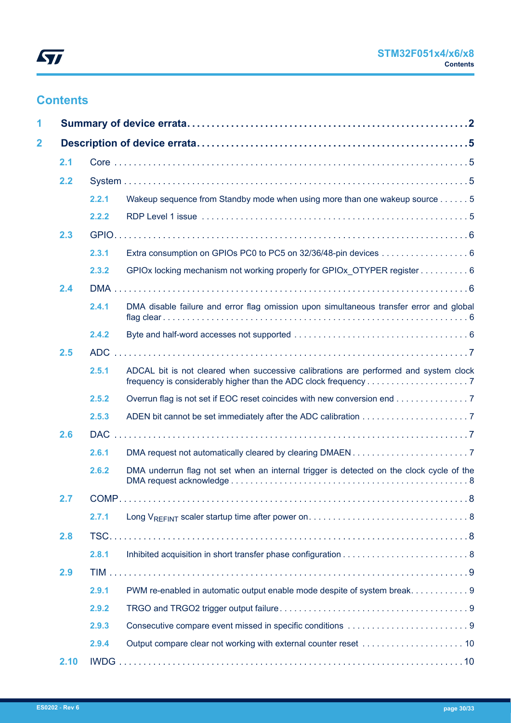

# **Contents**

| 1                       |      |       |                                                                                          |  |
|-------------------------|------|-------|------------------------------------------------------------------------------------------|--|
| $\overline{\mathbf{2}}$ |      |       |                                                                                          |  |
|                         | 2.1  |       |                                                                                          |  |
|                         | 2.2  |       |                                                                                          |  |
|                         |      | 2.2.1 | Wakeup sequence from Standby mode when using more than one wakeup source 5               |  |
|                         |      | 2.2.2 |                                                                                          |  |
|                         | 2.3  |       |                                                                                          |  |
|                         |      | 2.3.1 | Extra consumption on GPIOs PC0 to PC5 on 32/36/48-pin devices 6                          |  |
|                         |      | 2.3.2 | GPIOx locking mechanism not working properly for GPIOx_OTYPER register 6                 |  |
|                         | 2.4  |       |                                                                                          |  |
|                         |      | 2.4.1 | DMA disable failure and error flag omission upon simultaneous transfer error and global  |  |
|                         |      | 2.4.2 |                                                                                          |  |
|                         | 2.5  |       |                                                                                          |  |
|                         |      | 2.5.1 | ADCAL bit is not cleared when successive calibrations are performed and system clock     |  |
|                         |      | 2.5.2 | Overrun flag is not set if EOC reset coincides with new conversion end 7                 |  |
|                         |      | 2.5.3 |                                                                                          |  |
|                         | 2.6  |       |                                                                                          |  |
|                         |      | 2.6.1 |                                                                                          |  |
|                         |      | 2.6.2 | DMA underrun flag not set when an internal trigger is detected on the clock cycle of the |  |
|                         | 2.7  |       |                                                                                          |  |
|                         |      | 2.7.1 |                                                                                          |  |
|                         | 2.8  |       |                                                                                          |  |
|                         |      | 2.8.1 |                                                                                          |  |
|                         | 2.9  |       |                                                                                          |  |
|                         |      | 2.9.1 | PWM re-enabled in automatic output enable mode despite of system break. 9                |  |
|                         |      | 2.9.2 |                                                                                          |  |
|                         |      | 2.9.3 |                                                                                          |  |
|                         |      | 2.9.4 |                                                                                          |  |
|                         | 2.10 |       |                                                                                          |  |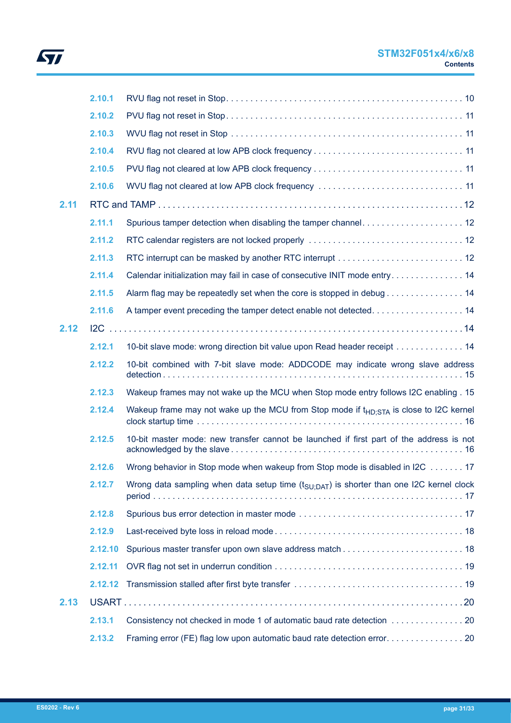

## **STM32F051x4/x6/x8 Contents**

|      | 2.10.1  |                                                                                                     |
|------|---------|-----------------------------------------------------------------------------------------------------|
|      | 2.10.2  |                                                                                                     |
|      | 2.10.3  |                                                                                                     |
|      | 2.10.4  |                                                                                                     |
|      | 2.10.5  |                                                                                                     |
|      | 2.10.6  | WVU flag not cleared at low APB clock frequency  11                                                 |
| 2.11 |         |                                                                                                     |
|      | 2.11.1  | Spurious tamper detection when disabling the tamper channel 12                                      |
|      | 2.11.2  |                                                                                                     |
|      | 2.11.3  |                                                                                                     |
|      | 2.11.4  | Calendar initialization may fail in case of consecutive INIT mode entry 14                          |
|      | 2.11.5  | Alarm flag may be repeatedly set when the core is stopped in debug 14                               |
|      | 2.11.6  | A tamper event preceding the tamper detect enable not detected 14                                   |
| 2.12 |         |                                                                                                     |
|      | 2.12.1  | 10-bit slave mode: wrong direction bit value upon Read header receipt 14                            |
|      | 2.12.2  | 10-bit combined with 7-bit slave mode: ADDCODE may indicate wrong slave address                     |
|      | 2.12.3  | Wakeup frames may not wake up the MCU when Stop mode entry follows I2C enabling . 15                |
|      | 2.12.4  | Wakeup frame may not wake up the MCU from Stop mode if $t_{HD:STA}$ is close to I2C kernel          |
|      | 2.12.5  | 10-bit master mode: new transfer cannot be launched if first part of the address is not             |
|      | 2.12.6  | Wrong behavior in Stop mode when wakeup from Stop mode is disabled in I2C 17                        |
|      | 2.12.7  | Wrong data sampling when data setup time $(t_{\text{SU:DAT}})$ is shorter than one I2C kernel clock |
|      | 2.12.8  |                                                                                                     |
|      | 2.12.9  |                                                                                                     |
|      | 2.12.10 |                                                                                                     |
|      | 2.12.11 |                                                                                                     |
|      | 2.12.12 |                                                                                                     |
| 2.13 |         |                                                                                                     |
|      | 2.13.1  |                                                                                                     |
|      | 2.13.2  |                                                                                                     |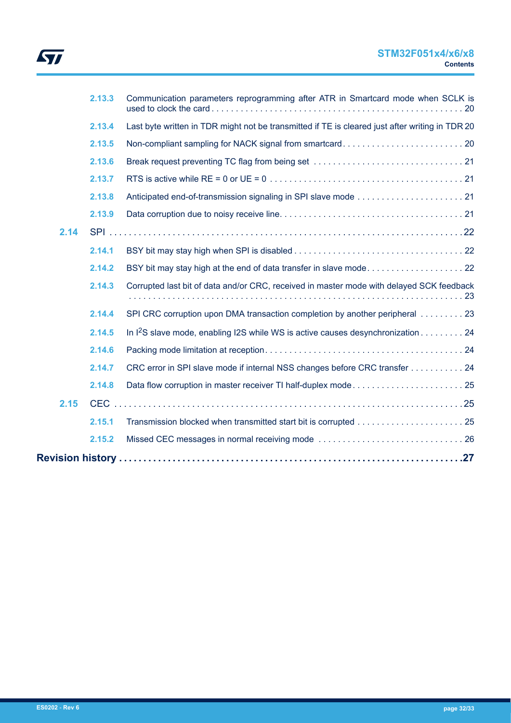|      | 2.13.3 | Communication parameters reprogramming after ATR in Smartcard mode when SCLK is                 |
|------|--------|-------------------------------------------------------------------------------------------------|
|      | 2.13.4 | Last byte written in TDR might not be transmitted if TE is cleared just after writing in TDR 20 |
|      | 2.13.5 |                                                                                                 |
|      | 2.13.6 |                                                                                                 |
|      | 2.13.7 |                                                                                                 |
|      | 2.13.8 |                                                                                                 |
|      | 2.13.9 |                                                                                                 |
| 2.14 |        |                                                                                                 |
|      | 2.14.1 |                                                                                                 |
|      | 2.14.2 |                                                                                                 |
|      | 2.14.3 | Corrupted last bit of data and/or CRC, received in master mode with delayed SCK feedback        |
|      | 2.14.4 | SPI CRC corruption upon DMA transaction completion by another peripheral 23                     |
|      | 2.14.5 | In $1^2$ S slave mode, enabling I2S while WS is active causes desynchronization 24              |
|      | 2.14.6 |                                                                                                 |
|      | 2.14.7 | CRC error in SPI slave mode if internal NSS changes before CRC transfer 24                      |
|      | 2.14.8 |                                                                                                 |
| 2.15 |        |                                                                                                 |
|      | 2.15.1 |                                                                                                 |
|      | 2.15.2 |                                                                                                 |
|      |        |                                                                                                 |
|      |        |                                                                                                 |